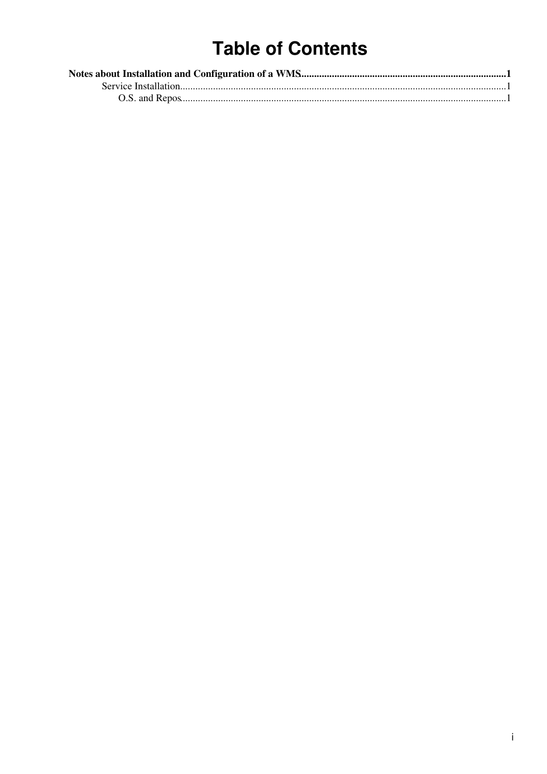# **Table of Contents**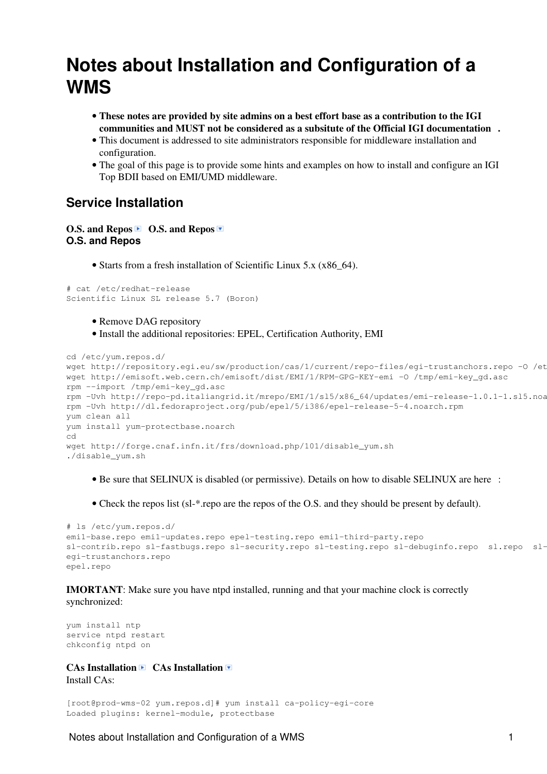# <span id="page-1-0"></span>**Notes about Installation and Configuration of a WMS**

- **These notes are provided by site admins on a best effort base as a contribution to the IGI communities and MUST not be considered as a subsitute of the [Official IGI documentation](http://wiki.italiangrid.it/twiki/bin/view/IGIRelease/IgiEmi) .**
- This document is addressed to site administrators responsible for middleware installation and configuration.
- The goal of this page is to provide some hints and examples on how to install and configure an IGI Top BDII based on EMI/UMD middleware.

# <span id="page-1-1"></span>**Service Installation**

```
O.S. and Repos D.S. and Repos D
O.S. and Repos
```
• Starts from a fresh installation of Scientific Linux 5.x (x86\_64).

```
# cat /etc/redhat-release 
Scientific Linux SL release 5.7 (Boron)
```
### • Remove DAG repository

• Install the additional repositories: EPEL, Certification Authority, EMI

```
cd /etc/yum.repos.d/
wget http://repository.egi.eu/sw/production/cas/1/current/repo-files/egi-trustanchors.repo -O /et
wget http://emisoft.web.cern.ch/emisoft/dist/EMI/1/RPM-GPG-KEY-emi -O /tmp/emi-key_gd.asc
rpm --import /tmp/emi-key_gd.asc
rpm -Uvh http://repo-pd.italiangrid.it/mrepo/EMI/1/sl5/x86_64/updates/emi-release-1.0.1-1.sl5.noa
rpm -Uvh http://dl.fedoraproject.org/pub/epel/5/i386/epel-release-5-4.noarch.rpm
yum clean all
yum install yum-protectbase.noarch
cd
wget http://forge.cnaf.infn.it/frs/download.php/101/disable_yum.sh
./disable_yum.sh
```
- Be sure that SELINUX is disabled (or permissive). Details on how to disable SELINUX are [here](http://fedoraproject.org/wiki/SELinux/setenforce) :
- Check the repos list (sl-\*.repo are the repos of the O.S. and they should be present by default).

```
# ls /etc/yum.repos.d/
emi1-base.repo emi1-updates.repo epel-testing.repo emi1-third-party.repo
sl-contrib.repo sl-fastbugs.repo sl-security.repo sl-testing.repo sl-debuginfo.repo sl.repo sl-
egi-trustanchors.repo 
epel.repo
```
# **IMORTANT**: Make sure you have ntpd installed, running and that your machine clock is correctly synchronized:

```
yum install ntp
service ntpd restart
chkconfig ntpd on
```
# **CAs Installation CAs Installation** Install CAs:

[root@prod-wms-02 yum.repos.d]# yum install ca-policy-egi-core Loaded plugins: kernel-module, protectbase

### Notes about Installation and Configuration of a WMS 1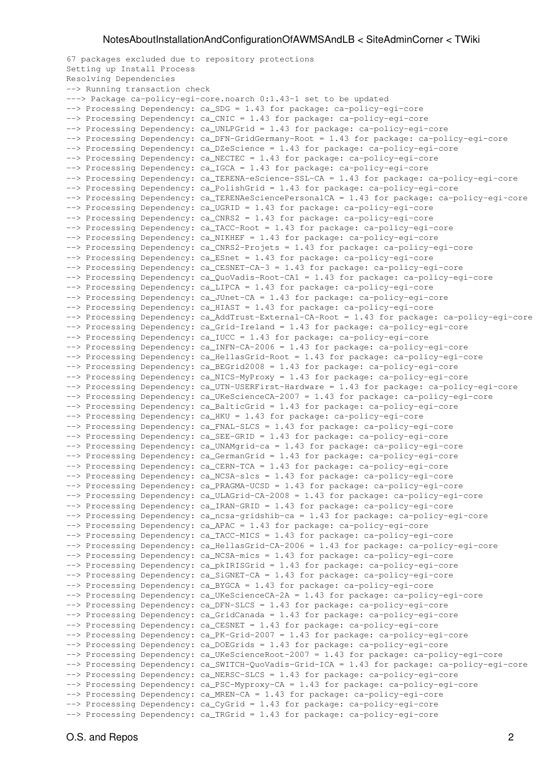```
67 packages excluded due to repository protections
Setting up Install Process
Resolving Dependencies
--> Running transaction check
---> Package ca-policy-egi-core.noarch 0:1.43-1 set to be updated
--> Processing Dependency: ca_SDG = 1.43 for package: ca-policy-egi-core
--> Processing Dependency: ca_CNIC = 1.43 for package: ca-policy-egi-core
--> Processing Dependency: ca_UNLPGrid = 1.43 for package: ca-policy-egi-core
--> Processing Dependency: ca_DFN-GridGermany-Root = 1.43 for package: ca-policy-egi-core
--> Processing Dependency: ca_DZeScience = 1.43 for package: ca-policy-egi-core
--> Processing Dependency: ca_NECTEC = 1.43 for package: ca-policy-egi-core
--> Processing Dependency: ca_IGCA = 1.43 for package: ca-policy-egi-core
--> Processing Dependency: ca_TERENA-eScience-SSL-CA = 1.43 for package: ca-policy-egi-core
--> Processing Dependency: ca_PolishGrid = 1.43 for package: ca-policy-egi-core
--> Processing Dependency: ca_TERENAeSciencePersonalCA = 1.43 for package: ca-policy-egi-core
--> Processing Dependency: ca_UGRID = 1.43 for package: ca-policy-egi-core
--> Processing Dependency: ca_CNRS2 = 1.43 for package: ca-policy-egi-core
--> Processing Dependency: ca_TACC-Root = 1.43 for package: ca-policy-egi-core
--> Processing Dependency: ca_NIKHEF = 1.43 for package: ca-policy-egi-core
--> Processing Dependency: ca_CNRS2-Projets = 1.43 for package: ca-policy-egi-core
--> Processing Dependency: ca_ESnet = 1.43 for package: ca-policy-egi-core
--> Processing Dependency: ca_CESNET-CA-3 = 1.43 for package: ca-policy-egi-core
--> Processing Dependency: ca_QuoVadis-Root-CA1 = 1.43 for package: ca-policy-egi-core
--> Processing Dependency: ca_LIPCA = 1.43 for package: ca-policy-egi-core
--> Processing Dependency: ca_JUnet-CA = 1.43 for package: ca-policy-egi-core
--> Processing Dependency: ca_HIAST = 1.43 for package: ca-policy-egi-core
--> Processing Dependency: ca_AddTrust-External-CA-Root = 1.43 for package: ca-policy-egi-core
--> Processing Dependency: ca_Grid-Ireland = 1.43 for package: ca-policy-egi-core
--> Processing Dependency: ca_IUCC = 1.43 for package: ca-policy-egi-core
--> Processing Dependency: ca_INFN-CA-2006 = 1.43 for package: ca-policy-egi-core
--> Processing Dependency: ca_HellasGrid-Root = 1.43 for package: ca-policy-egi-core
--> Processing Dependency: ca_BEGrid2008 = 1.43 for package: ca-policy-egi-core
--> Processing Dependency: ca_NICS-MyProxy = 1.43 for package: ca-policy-egi-core
--> Processing Dependency: ca_UTN-USERFirst-Hardware = 1.43 for package: ca-policy-egi-core
--> Processing Dependency: ca_UKeScienceCA-2007 = 1.43 for package: ca-policy-egi-core
--> Processing Dependency: ca_BalticGrid = 1.43 for package: ca-policy-egi-core
--> Processing Dependency: ca_HKU = 1.43 for package: ca-policy-egi-core
--> Processing Dependency: ca_FNAL-SLCS = 1.43 for package: ca-policy-egi-core
--> Processing Dependency: ca_SEE-GRID = 1.43 for package: ca-policy-egi-core
--> Processing Dependency: ca_UNAMgrid-ca = 1.43 for package: ca-policy-egi-core
--> Processing Dependency: ca_GermanGrid = 1.43 for package: ca-policy-egi-core
--> Processing Dependency: ca_CERN-TCA = 1.43 for package: ca-policy-egi-core
--> Processing Dependency: ca_NCSA-slcs = 1.43 for package: ca-policy-egi-core
--> Processing Dependency: ca_PRAGMA-UCSD = 1.43 for package: ca-policy-egi-core
--> Processing Dependency: ca_ULAGrid-CA-2008 = 1.43 for package: ca-policy-egi-core
--> Processing Dependency: ca_IRAN-GRID = 1.43 for package: ca-policy-egi-core
--> Processing Dependency: ca_ncsa-gridshib-ca = 1.43 for package: ca-policy-egi-core
--> Processing Dependency: ca_APAC = 1.43 for package: ca-policy-egi-core
--> Processing Dependency: ca_TACC-MICS = 1.43 for package: ca-policy-egi-core
--> Processing Dependency: ca_HellasGrid-CA-2006 = 1.43 for package: ca-policy-egi-core
--> Processing Dependency: ca_NCSA-mics = 1.43 for package: ca-policy-egi-core
--> Processing Dependency: ca_pkIRISGrid = 1.43 for package: ca-policy-egi-core
--> Processing Dependency: ca_SiGNET-CA = 1.43 for package: ca-policy-egi-core
--> Processing Dependency: ca_BYGCA = 1.43 for package: ca-policy-egi-core
--> Processing Dependency: ca_UKeScienceCA-2A = 1.43 for package: ca-policy-egi-core
--> Processing Dependency: ca_DFN-SLCS = 1.43 for package: ca-policy-egi-core
--> Processing Dependency: ca_GridCanada = 1.43 for package: ca-policy-egi-core
--> Processing Dependency: ca_CESNET = 1.43 for package: ca-policy-egi-core
--> Processing Dependency: ca_PK-Grid-2007 = 1.43 for package: ca-policy-egi-core
--> Processing Dependency: ca_DOEGrids = 1.43 for package: ca-policy-egi-core
--> Processing Dependency: ca_UKeScienceRoot-2007 = 1.43 for package: ca-policy-egi-core
--> Processing Dependency: ca_SWITCH-QuoVadis-Grid-ICA = 1.43 for package: ca-policy-egi-core
--> Processing Dependency: ca_NERSC-SLCS = 1.43 for package: ca-policy-egi-core
--> Processing Dependency: ca_PSC-Myproxy-CA = 1.43 for package: ca-policy-egi-core
--> Processing Dependency: ca_MREN-CA = 1.43 for package: ca-policy-egi-core
--> Processing Dependency: ca_CyGrid = 1.43 for package: ca-policy-egi-core
--> Processing Dependency: ca_TRGrid = 1.43 for package: ca-policy-egi-core
```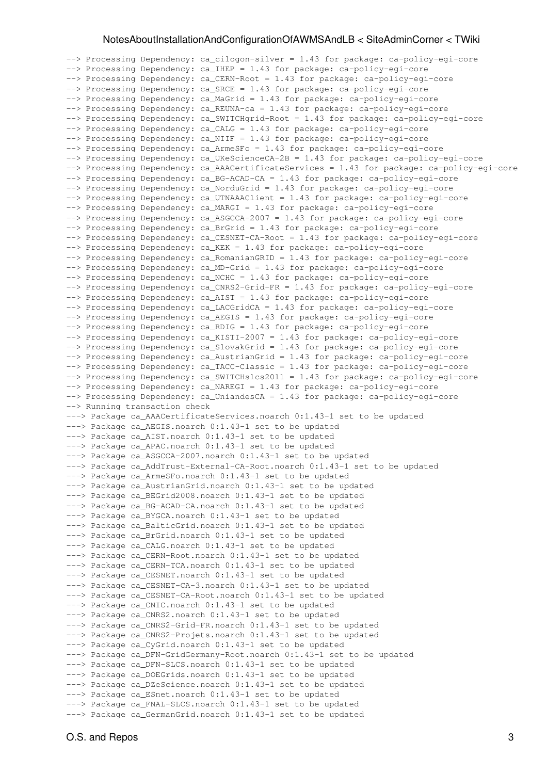--> Processing Dependency: ca\_cilogon-silver = 1.43 for package: ca-policy-egi-core --> Processing Dependency: ca\_IHEP = 1.43 for package: ca-policy-egi-core --> Processing Dependency: ca\_CERN-Root = 1.43 for package: ca-policy-egi-core --> Processing Dependency: ca\_SRCE = 1.43 for package: ca-policy-egi-core --> Processing Dependency: ca\_MaGrid = 1.43 for package: ca-policy-egi-core --> Processing Dependency: ca\_REUNA-ca = 1.43 for package: ca-policy-egi-core --> Processing Dependency: ca SWITCHgrid-Root = 1.43 for package: ca-policy-egi-core --> Processing Dependency: ca\_CALG = 1.43 for package: ca-policy-egi-core --> Processing Dependency: ca\_NIIF = 1.43 for package: ca-policy-egi-core --> Processing Dependency: ca\_ArmeSFo = 1.43 for package: ca-policy-egi-core --> Processing Dependency: ca\_UKeScienceCA-2B = 1.43 for package: ca-policy-egi-core --> Processing Dependency: ca AAACertificateServices = 1.43 for package: ca-policy-egi-core --> Processing Dependency: ca\_BG-ACAD-CA = 1.43 for package: ca-policy-egi-core --> Processing Dependency: ca\_NorduGrid = 1.43 for package: ca-policy-egi-core --> Processing Dependency: ca\_UTNAAAClient = 1.43 for package: ca-policy-egi-core --> Processing Dependency: ca\_MARGI = 1.43 for package: ca-policy-egi-core --> Processing Dependency: ca\_ASGCCA-2007 = 1.43 for package: ca-policy-egi-core --> Processing Dependency: ca\_BrGrid = 1.43 for package: ca-policy-egi-core --> Processing Dependency: ca\_CESNET-CA-Root = 1.43 for package: ca-policy-egi-core --> Processing Dependency: ca\_KEK = 1.43 for package: ca-policy-egi-core --> Processing Dependency: ca\_RomanianGRID = 1.43 for package: ca-policy-egi-core --> Processing Dependency: ca\_MD-Grid = 1.43 for package: ca-policy-egi-core --> Processing Dependency: ca\_NCHC = 1.43 for package: ca-policy-egi-core --> Processing Dependency: ca\_CNRS2-Grid-FR = 1.43 for package: ca-policy-egi-core --> Processing Dependency: ca\_AIST = 1.43 for package: ca-policy-egi-core --> Processing Dependency: ca\_LACGridCA = 1.43 for package: ca-policy-egi-core --> Processing Dependency: ca\_AEGIS = 1.43 for package: ca-policy-egi-core --> Processing Dependency: ca\_RDIG = 1.43 for package: ca-policy-egi-core --> Processing Dependency: ca\_KISTI-2007 = 1.43 for package: ca-policy-egi-core --> Processing Dependency: ca\_SlovakGrid = 1.43 for package: ca-policy-egi-core --> Processing Dependency: ca\_AustrianGrid = 1.43 for package: ca-policy-egi-core --> Processing Dependency: ca\_TACC-Classic = 1.43 for package: ca-policy-egi-core --> Processing Dependency: ca\_SWITCHslcs2011 = 1.43 for package: ca-policy-egi-core --> Processing Dependency: ca\_NAREGI = 1.43 for package: ca-policy-egi-core --> Processing Dependency: ca\_UniandesCA = 1.43 for package: ca-policy-egi-core --> Running transaction check ---> Package ca\_AAACertificateServices.noarch 0:1.43-1 set to be updated ---> Package ca\_AEGIS.noarch 0:1.43-1 set to be updated ---> Package ca\_AIST.noarch 0:1.43-1 set to be updated ---> Package ca\_APAC.noarch 0:1.43-1 set to be updated ---> Package ca\_ASGCCA-2007.noarch 0:1.43-1 set to be updated ---> Package ca\_AddTrust-External-CA-Root.noarch 0:1.43-1 set to be updated ---> Package ca\_ArmeSFo.noarch 0:1.43-1 set to be updated ---> Package ca\_AustrianGrid.noarch 0:1.43-1 set to be updated ---> Package ca\_BEGrid2008.noarch 0:1.43-1 set to be updated ---> Package ca\_BG-ACAD-CA.noarch 0:1.43-1 set to be updated ---> Package ca\_BYGCA.noarch 0:1.43-1 set to be updated ---> Package ca\_BalticGrid.noarch 0:1.43-1 set to be updated ---> Package ca\_BrGrid.noarch 0:1.43-1 set to be updated ---> Package ca\_CALG.noarch 0:1.43-1 set to be updated ---> Package ca\_CERN-Root.noarch 0:1.43-1 set to be updated ---> Package ca CERN-TCA.noarch 0:1.43-1 set to be updated ---> Package ca\_CESNET.noarch 0:1.43-1 set to be updated ---> Package ca\_CESNET-CA-3.noarch 0:1.43-1 set to be updated ---> Package ca\_CESNET-CA-Root.noarch 0:1.43-1 set to be updated ---> Package ca\_CNIC.noarch 0:1.43-1 set to be updated ---> Package ca\_CNRS2.noarch 0:1.43-1 set to be updated ---> Package ca\_CNRS2-Grid-FR.noarch 0:1.43-1 set to be updated ---> Package ca\_CNRS2-Projets.noarch 0:1.43-1 set to be updated ---> Package ca\_CyGrid.noarch 0:1.43-1 set to be updated ---> Package ca\_DFN-GridGermany-Root.noarch 0:1.43-1 set to be updated ---> Package ca\_DFN-SLCS.noarch 0:1.43-1 set to be updated ---> Package ca\_DOEGrids.noarch 0:1.43-1 set to be updated ---> Package ca\_DZeScience.noarch 0:1.43-1 set to be updated ---> Package ca ESnet.noarch 0:1.43-1 set to be updated ---> Package ca\_FNAL-SLCS.noarch 0:1.43-1 set to be updated ---> Package ca\_GermanGrid.noarch 0:1.43-1 set to be updated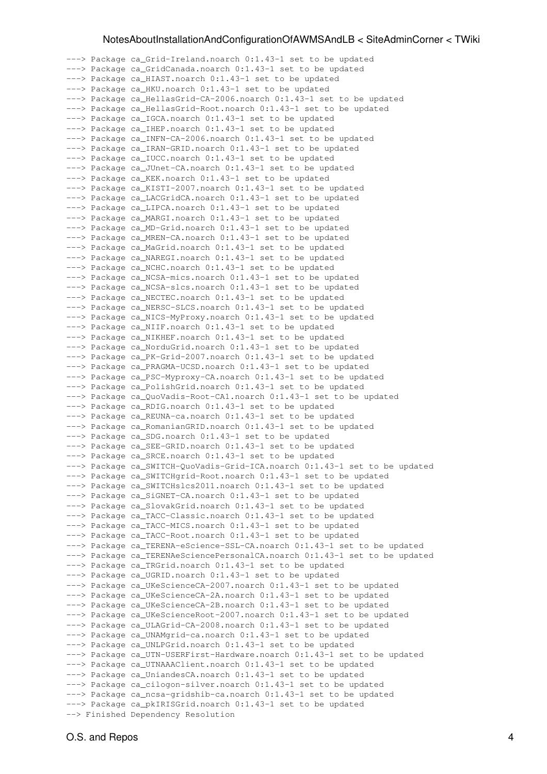---> Package ca\_Grid-Ireland.noarch 0:1.43-1 set to be updated ---> Package ca\_GridCanada.noarch 0:1.43-1 set to be updated ---> Package ca\_HIAST.noarch 0:1.43-1 set to be updated ---> Package ca\_HKU.noarch 0:1.43-1 set to be updated ---> Package ca\_HellasGrid-CA-2006.noarch 0:1.43-1 set to be updated ---> Package ca\_HellasGrid-Root.noarch 0:1.43-1 set to be updated ---> Package ca IGCA.noarch 0:1.43-1 set to be updated ---> Package ca\_IHEP.noarch 0:1.43-1 set to be updated ---> Package ca\_INFN-CA-2006.noarch 0:1.43-1 set to be updated ---> Package ca\_IRAN-GRID.noarch 0:1.43-1 set to be updated ---> Package ca IUCC.noarch 0:1.43-1 set to be updated ---> Package ca JUnet-CA.noarch 0:1.43-1 set to be updated ---> Package ca\_KEK.noarch 0:1.43-1 set to be updated ---> Package ca\_KISTI-2007.noarch 0:1.43-1 set to be updated ---> Package ca\_LACGridCA.noarch 0:1.43-1 set to be updated ---> Package ca\_LIPCA.noarch 0:1.43-1 set to be updated ---> Package ca\_MARGI.noarch 0:1.43-1 set to be updated ---> Package ca\_MD-Grid.noarch 0:1.43-1 set to be updated ---> Package ca\_MREN-CA.noarch 0:1.43-1 set to be updated ---> Package ca MaGrid.noarch 0:1.43-1 set to be updated ---> Package ca\_NAREGI.noarch 0:1.43-1 set to be updated ---> Package ca\_NCHC.noarch 0:1.43-1 set to be updated ---> Package ca\_NCSA-mics.noarch 0:1.43-1 set to be updated ---> Package ca\_NCSA-slcs.noarch 0:1.43-1 set to be updated ---> Package ca\_NECTEC.noarch 0:1.43-1 set to be updated ---> Package ca\_NERSC-SLCS.noarch 0:1.43-1 set to be updated ---> Package ca\_NICS-MyProxy.noarch 0:1.43-1 set to be updated ---> Package ca\_NIIF.noarch 0:1.43-1 set to be updated ---> Package ca\_NIKHEF.noarch 0:1.43-1 set to be updated ---> Package ca\_NorduGrid.noarch 0:1.43-1 set to be updated ---> Package ca\_PK-Grid-2007.noarch 0:1.43-1 set to be updated ---> Package ca\_PRAGMA-UCSD.noarch 0:1.43-1 set to be updated ---> Package ca\_PSC-Myproxy-CA.noarch 0:1.43-1 set to be updated ---> Package ca\_PolishGrid.noarch 0:1.43-1 set to be updated ---> Package ca\_QuoVadis-Root-CA1.noarch 0:1.43-1 set to be updated ---> Package ca\_RDIG.noarch 0:1.43-1 set to be updated ---> Package ca\_REUNA-ca.noarch 0:1.43-1 set to be updated ---> Package ca\_RomanianGRID.noarch 0:1.43-1 set to be updated ---> Package ca\_SDG.noarch 0:1.43-1 set to be updated ---> Package ca\_SEE-GRID.noarch 0:1.43-1 set to be updated ---> Package ca\_SRCE.noarch 0:1.43-1 set to be updated ---> Package ca\_SWITCH-QuoVadis-Grid-ICA.noarch 0:1.43-1 set to be updated ---> Package ca\_SWITCHgrid-Root.noarch 0:1.43-1 set to be updated ---> Package ca\_SWITCHslcs2011.noarch 0:1.43-1 set to be updated ---> Package ca\_SiGNET-CA.noarch 0:1.43-1 set to be updated ---> Package ca\_SlovakGrid.noarch 0:1.43-1 set to be updated ---> Package ca\_TACC-Classic.noarch 0:1.43-1 set to be updated ---> Package ca\_TACC-MICS.noarch 0:1.43-1 set to be updated ---> Package ca\_TACC-Root.noarch 0:1.43-1 set to be updated ---> Package ca\_TERENA-eScience-SSL-CA.noarch 0:1.43-1 set to be updated ---> Package ca\_TERENAeSciencePersonalCA.noarch 0:1.43-1 set to be updated ---> Package ca\_TRGrid.noarch 0:1.43-1 set to be updated ---> Package ca\_UGRID.noarch 0:1.43-1 set to be updated ---> Package ca\_UKeScienceCA-2007.noarch 0:1.43-1 set to be updated ---> Package ca\_UKeScienceCA-2A.noarch 0:1.43-1 set to be updated ---> Package ca\_UKeScienceCA-2B.noarch 0:1.43-1 set to be updated ---> Package ca\_UKeScienceRoot-2007.noarch 0:1.43-1 set to be updated ---> Package ca\_ULAGrid-CA-2008.noarch 0:1.43-1 set to be updated ---> Package ca\_UNAMgrid-ca.noarch 0:1.43-1 set to be updated ---> Package ca\_UNLPGrid.noarch 0:1.43-1 set to be updated ---> Package ca\_UTN-USERFirst-Hardware.noarch 0:1.43-1 set to be updated ---> Package ca\_UTNAAAClient.noarch 0:1.43-1 set to be updated ---> Package ca\_UniandesCA.noarch 0:1.43-1 set to be updated ---> Package ca\_cilogon-silver.noarch 0:1.43-1 set to be updated ---> Package ca ncsa-gridshib-ca.noarch 0:1.43-1 set to be updated ---> Package ca\_pkIRISGrid.noarch 0:1.43-1 set to be updated --> Finished Dependency Resolution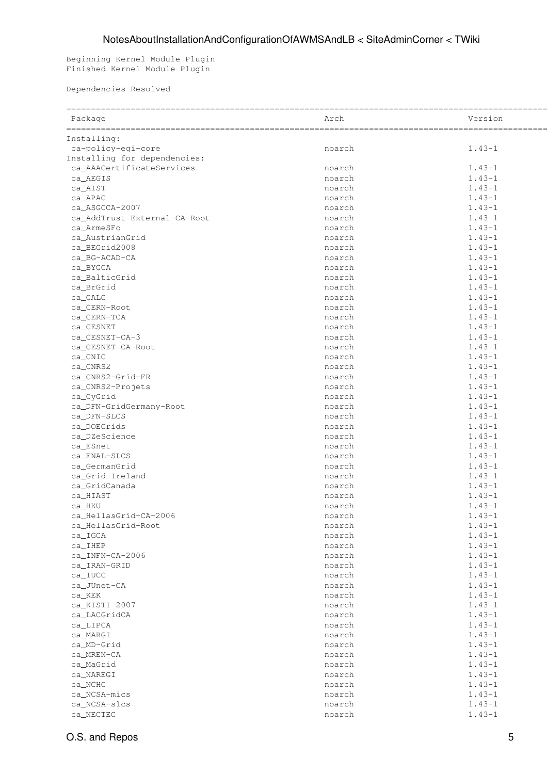Beginning Kernel Module Plugin Finished Kernel Module Plugin

Dependencies Resolved

| Package                      | Arch   | Version    |
|------------------------------|--------|------------|
| Installing:                  |        |            |
| ca-policy-egi-core           | noarch | $1.43 - 1$ |
| Installing for dependencies: |        |            |
| ca_AAACertificateServices    | noarch | $1.43 - 1$ |
| ca_AEGIS                     | noarch | $1.43 - 1$ |
| ca_AIST                      | noarch | $1.43 - 1$ |
| ca_APAC                      | noarch | $1.43 - 1$ |
| ca_ASGCCA-2007               | noarch | $1.43 - 1$ |
| ca AddTrust-External-CA-Root | noarch | $1.43 - 1$ |
| ca ArmeSFo                   | noarch | $1.43 - 1$ |
|                              | noarch | $1.43 - 1$ |
| ca_AustrianGrid              |        |            |
| ca_BEGrid2008                | noarch | $1.43 - 1$ |
| ca_BG-ACAD-CA                | noarch | $1.43 - 1$ |
| ca_BYGCA                     | noarch | $1.43 - 1$ |
| ca_BalticGrid                | noarch | $1.43 - 1$ |
| ca_BrGrid                    | noarch | $1.43 - 1$ |
| ca_CALG                      | noarch | $1.43 - 1$ |
| ca_CERN-Root                 | noarch | $1.43 - 1$ |
| ca_CERN-TCA                  | noarch | $1.43 - 1$ |
| ca_CESNET                    | noarch | $1.43 - 1$ |
|                              |        |            |
| ca_CESNET-CA-3               | noarch | $1.43 - 1$ |
| ca_CESNET-CA-Root            | noarch | $1.43 - 1$ |
| ca_CNIC                      | noarch | $1.43 - 1$ |
| ca_CNRS2                     | noarch | $1.43 - 1$ |
| ca_CNRS2-Grid-FR             | noarch | $1.43 - 1$ |
| ca_CNRS2-Projets             | noarch | $1.43 - 1$ |
| ca_CyGrid                    | noarch | $1.43 - 1$ |
| ca_DFN-GridGermany-Root      | noarch | $1.43 - 1$ |
| ca_DFN-SLCS                  | noarch | $1.43 - 1$ |
|                              |        |            |
| ca_DOEGrids                  | noarch | $1.43 - 1$ |
| ca_DZeScience                | noarch | $1.43 - 1$ |
| ca_ESnet                     | noarch | $1.43 - 1$ |
| ca_FNAL-SLCS                 | noarch | $1.43 - 1$ |
| ca GermanGrid                | noarch | $1.43 - 1$ |
| ca_Grid-Ireland              | noarch | $1.43 - 1$ |
| ca_GridCanada                | noarch | $1.43 - 1$ |
| ca_HIAST                     | noarch | $1.43 - 1$ |
| ca_HKU                       | noarch | $1.43 - 1$ |
| ca HellasGrid-CA-2006        | noarch | $1.43 - 1$ |
|                              |        | $1.43 - 1$ |
| ca_HellasGrid-Root           | noarch |            |
| ca_IGCA                      | noarch | $1.43 - 1$ |
| $ca$ _IHEP                   | noarch | $1.43 - 1$ |
| ca_INFN-CA-2006              | noarch | $1.43 - 1$ |
| ca_IRAN-GRID                 | noarch | $1.43 - 1$ |
| $ca\_IUCC$                   | noarch | $1.43 - 1$ |
| ca_JUnet-CA                  | noarch | $1.43 - 1$ |
| ca_KEK                       | noarch | $1.43 - 1$ |
| ca_KISTI-2007                | noarch | $1.43 - 1$ |
|                              |        | $1.43 - 1$ |
| ca_LACGridCA                 | noarch |            |
| ca_LIPCA                     | noarch | $1.43 - 1$ |
| ca_MARGI                     | noarch | $1.43 - 1$ |
| ca_MD-Grid                   | noarch | $1.43 - 1$ |
| ca_MREN-CA                   | noarch | $1.43 - 1$ |
| ca_MaGrid                    | noarch | $1.43 - 1$ |
| ca_NAREGI                    | noarch | $1.43 - 1$ |
| ca_NCHC                      | noarch | $1.43 - 1$ |
| ca_NCSA-mics                 | noarch | $1.43 - 1$ |
| ca_NCSA-slcs                 | noarch | $1.43 - 1$ |
|                              |        |            |
| $ca$ _NECTEC                 | noarch | $1.43 - 1$ |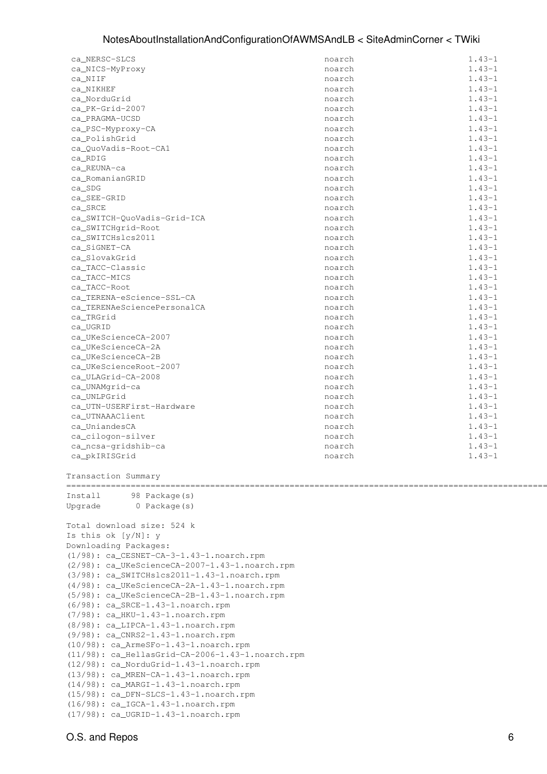| ca_NERSC-SLCS               | noarch | $1.43 - 1$ |
|-----------------------------|--------|------------|
| ca_NICS-MyProxy             | noarch | $1.43 - 1$ |
| ca_NIIF                     | noarch | $1.43 - 1$ |
| ca_NIKHEF                   | noarch | $1.43 - 1$ |
| ca_NorduGrid                | noarch | $1.43 - 1$ |
| ca_PK-Grid-2007             | noarch | $1.43 - 1$ |
| ca_PRAGMA-UCSD              | noarch | $1.43 - 1$ |
| ca_PSC-Myproxy-CA           | noarch | $1.43 - 1$ |
| ca_PolishGrid               | noarch | $1.43 - 1$ |
| ca_QuoVadis-Root-CA1        | noarch | $1.43 - 1$ |
| ca_RDIG                     | noarch | $1.43 - 1$ |
| ca_REUNA-ca                 | noarch | $1.43 - 1$ |
| ca_RomanianGRID             | noarch | $1.43 - 1$ |
| ca_SDG                      | noarch | $1.43 - 1$ |
| ca_SEE-GRID                 | noarch | $1.43 - 1$ |
| ca_SRCE                     | noarch | $1.43 - 1$ |
| ca_SWITCH-QuoVadis-Grid-ICA | noarch | $1.43 - 1$ |
| ca_SWITCHgrid-Root          | noarch | $1.43 - 1$ |
| ca_SWITCHslcs2011           | noarch | $1.43 - 1$ |
| ca_SiGNET-CA                | noarch | $1.43 - 1$ |
| ca_SlovakGrid               | noarch | $1.43 - 1$ |
| ca_TACC-Classic             | noarch | $1.43 - 1$ |
| ca_TACC-MICS                | noarch | $1.43 - 1$ |
| ca_TACC-Root                | noarch | $1.43 - 1$ |
| ca_TERENA-eScience-SSL-CA   | noarch | $1.43 - 1$ |
| ca_TERENAeSciencePersonalCA | noarch | $1.43 - 1$ |
| ca_TRGrid                   | noarch | $1.43 - 1$ |
| ca_UGRID                    | noarch | $1.43 - 1$ |
| ca_UKeScienceCA-2007        | noarch | $1.43 - 1$ |
| ca_UKeScienceCA-2A          | noarch | $1.43 - 1$ |
| ca_UKeScienceCA-2B          | noarch | $1.43 - 1$ |
| ca_UKeScienceRoot-2007      | noarch | $1.43 - 1$ |
| ca_ULAGrid-CA-2008          | noarch | $1.43 - 1$ |
| ca_UNAMgrid-ca              | noarch | $1.43 - 1$ |
| ca_UNLPGrid                 | noarch | $1.43 - 1$ |
| ca UTN-USERFirst-Hardware   | noarch | $1.43 - 1$ |
| ca_UTNAAAClient             | noarch | $1.43 - 1$ |
| ca_UniandesCA               | noarch | $1.43 - 1$ |
| ca_cilogon-silver           | noarch | $1.43 - 1$ |
| ca_ncsa-gridshib-ca         | noarch | $1.43 - 1$ |
| ca_pkIRISGrid               | noarch | $1.43 - 1$ |
|                             |        |            |
| Transaction Summary         |        |            |
|                             |        |            |
|                             |        |            |

Install 98 Package(s) Upgrade 0 Package(s)

Total download size: 524 k Is this ok [y/N]: y Downloading Packages:  $(1/98): ca_CESNET-CA-3-1.43-1.noarch.rpm$  $(2/98):$  ca\_UKeScienceCA-2007-1.43-1.noarch.rpm  $(3/98):$  ca\_SWITCHslcs2011-1.43-1.noarch.rpm (4/98): ca\_UKeScienceCA-2A-1.43-1.noarch.rpm (5/98): ca\_UKeScienceCA-2B-1.43-1.noarch.rpm  $(6/98): ca_SRCE-1.43-1.noarch.rpm$ (7/98): ca\_HKU-1.43-1.noarch.rpm (8/98): ca\_LIPCA-1.43-1.noarch.rpm  $(9/98): ca_CNRS2-1.43-1.noarch.rpm$  $(10/98):$  ca\_ArmeSFo-1.43-1.noarch.rpm (11/98): ca\_HellasGrid-CA-2006-1.43-1.noarch.rpm  $(12/98):$  ca\_NorduGrid-1.43-1.noarch.rpm  $(13/98): ca_MREN-CA-1.43-1.noarch.rpm$  $(14/98): ca_MARGI-1.43-1.noarch.rpm$  $(15/98):$  ca DFN-SLCS-1.43-1.noarch.rpm  $(16/98): ca_IGCA-1.43-1.noarch.rpm$  $(17/98): ca_UGRID-1.43-1.noarch.rpm$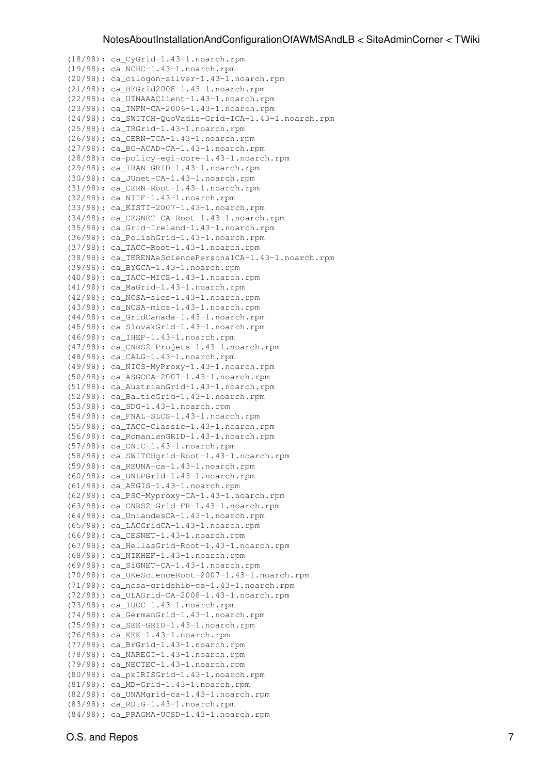$(18/98)$ : ca CyGrid-1.43-1.noarch.rpm  $(19/98): ca_NCHC-1.43-1.noarch.rpm$ (20/98): ca\_cilogon-silver-1.43-1.noarch.rpm (21/98): ca\_BEGrid2008-1.43-1.noarch.rpm  $(22/98):$  ca\_UTNAAAClient-1.43-1.noarch.rpm (23/98): ca\_INFN-CA-2006-1.43-1.noarch.rpm (24/98): ca SWITCH-QuoVadis-Grid-ICA-1.43-1.noarch.rpm  $(25/98): ca_TRGrid-1.43-1.noarchrpm$  $(26/98):$  ca\_CERN-TCA-1.43-1.noarch.rpm  $(27/98):$  ca\_BG-ACAD-CA-1.43-1.noarch.rpm (28/98): ca-policy-egi-core-1.43-1.noarch.rpm  $(29/98):$  ca\_IRAN-GRID-1.43-1.noarch.rpm  $(30/98):$  ca\_JUnet-CA-1.43-1.noarch.rpm  $(31/98)$ : ca\_CERN-Root-1.43-1.noarch.rpm  $(32/98)$ : ca NIIF-1.43-1.noarch.rpm (33/98): ca\_KISTI-2007-1.43-1.noarch.rpm  $(34/98):$  ca\_CESNET-CA-Root-1.43-1.noarch.rpm  $(35/98):$  ca\_Grid-Ireland-1.43-1.noarch.rpm  $(36/98):$  ca\_PolishGrid-1.43-1.noarch.rpm  $(37/98):$  ca TACC-Root-1.43-1.noarch.rpm (38/98): ca\_TERENAeSciencePersonalCA-1.43-1.noarch.rpm (39/98): ca BYGCA-1.43-1.noarch.rpm  $(40/98):$  ca\_TACC-MICS-1.43-1.noarch.rpm  $(41/98):$  ca\_MaGrid-1.43-1.noarch.rpm  $(42/98):$  ca\_NCSA-slcs-1.43-1.noarch.rpm  $(43/98):$  ca\_NCSA-mics-1.43-1.noarch.rpm  $(44/98):$  ca\_GridCanada-1.43-1.noarch.rpm  $(45/98):$  ca\_SlovakGrid-1.43-1.noarch.rpm (46/98): ca\_IHEP-1.43-1.noarch.rpm  $(47/98):$  ca\_CNRS2-Projets-1.43-1.noarch.rpm  $(48/98):$  ca\_CALG-1.43-1.noarch.rpm  $(49/98): ca_NICS-MyProxy-1.43-1.noarchrpm$  $(50/98):$  ca\_ASGCCA-2007-1.43-1.noarch.rpm (51/98): ca\_AustrianGrid-1.43-1.noarch.rpm  $(52/98):$  ca\_BalticGrid-1.43-1.noarch.rpm (53/98): ca\_SDG-1.43-1.noarch.rpm  $(54/98):$  ca\_FNAL-SLCS-1.43-1.noarch.rpm  $(55/98)$ : ca TACC-Classic-1.43-1.noarch.rpm  $(56/98):$  ca\_RomanianGRID-1.43-1.noarch.rpm  $(57/98): ca_CNIC-1.43-1.noarch.rpm$ (58/98): ca\_SWITCHgrid-Root-1.43-1.noarch.rpm  $(59/98): ca$ \_REUNA-ca-1.43-1.noarch.rpm (60/98): ca\_UNLPGrid-1.43-1.noarch.rpm (61/98): ca\_AEGIS-1.43-1.noarch.rpm  $(62/98): ca_PSC-Myproxy-CA-1.43-1.noarch.rpm$  $(63/98):$  ca\_CNRS2-Grid-FR-1.43-1.noarch.rpm  $(64/98): ca_Un$ iandesCA-1.43-1.noarch.rpm  $(65/98)$ : ca\_LACGridCA-1.43-1.noarch.rpm  $(66/98): ca_CESNET-1.43-1.noarch.rpm$ (67/98): ca\_HellasGrid-Root-1.43-1.noarch.rpm (68/98): ca\_NIKHEF-1.43-1.noarch.rpm  $(69/98):$  ca SiGNET-CA-1.43-1.noarch.rpm (70/98): ca\_UKeScienceRoot-2007-1.43-1.noarch.rpm (71/98): ca\_ncsa-gridshib-ca-1.43-1.noarch.rpm (72/98): ca\_ULAGrid-CA-2008-1.43-1.noarch.rpm (73/98): ca\_IUCC-1.43-1.noarch.rpm (74/98): ca\_GermanGrid-1.43-1.noarch.rpm (75/98): ca\_SEE-GRID-1.43-1.noarch.rpm (76/98): ca\_KEK-1.43-1.noarch.rpm (77/98): ca\_BrGrid-1.43-1.noarch.rpm (78/98): ca\_NAREGI-1.43-1.noarch.rpm (79/98): ca\_NECTEC-1.43-1.noarch.rpm  $(80/98)$ : ca\_pkIRISGrid-1.43-1.noarch.rpm  $(81/98)$ : ca MD-Grid-1.43-1.noarch.rpm  $(82/98)$ : ca UNAMgrid-ca-1.43-1.noarch.rpm (83/98): ca\_RDIG-1.43-1.noarch.rpm (84/98): ca\_PRAGMA-UCSD-1.43-1.noarch.rpm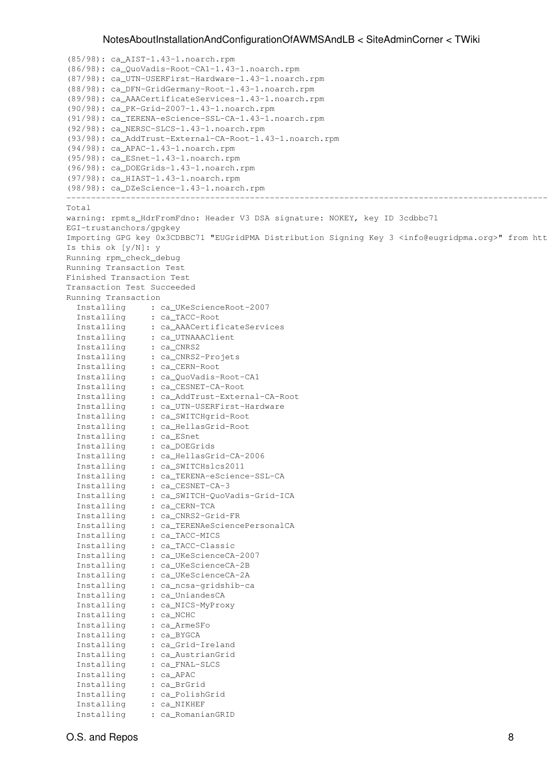```
(85/98): ca AIST-1.43-1.noarch.rpm
(86/98): ca_QuoVadis-Root-CA1-1.43-1.noarch.rpm
(87/98): ca_UTN-USERFirst-Hardware-1.43-1.noarch.rpm
(88/98): ca_DFN-GridGermany-Root-1.43-1.noarch.rpm
(89/98): ca_AAACertificateServices-1.43-1.noarch.rpm
(90/98): ca PK-Grid-2007-1.43-1.noarch.rpm
(91/98): ca TERENA-eScience-SSL-CA-1.43-1.noarch.rpm
(92/98): ca NERSC-SLCS-1.43-1.noarch.rpm
(93/98): ca_AddTrust-External-CA-Root-1.43-1.noarch.rpm
(94/98): ca_APAC-1.43-1.noarch.rpm
(95/98): ca ESnet-1.43-1.noarch.rpm
(96/98): ca DOEGrids-1.43-1.noarch.rpm
(97/98): ca_HIAST-1.43-1.noarch.rpm
(98/98): ca_DZeScience-1.43-1.noarch.rpm
-------------------------------------------------------------------------------------------------------------------------------------------------------------
\mathtt{Total}warning: rpmts_HdrFromFdno: Header V3 DSA signature: NOKEY, key ID 3cdbbc71
EGI-trustanchors/gpgkey
Importing GPG key 0x3CDBBC71 "EUGridPMA Distribution Signing Key 3 <info@eugridpma.org>" from htt
Is this ok [y/N]: y
Running rpm_check_debug
Running Transaction Test
Finished Transaction Test
Transaction Test Succeeded
Running Transaction
 Installing : ca_UKeScienceRoot-2007
 Installing : ca_TACC-Root 2/98 
 Installing : ca_AAACertificateServices
 Installing : ca_UTNAAAClient<br>Installing : ca_CNRS2
Installing : ca_CNRS2 5/9898 5/9889 5/9889 5/9889 5/9889 5/9889 5/9889 5/9889 5/9889 5/9889 5/9889 5/9889 5/98
 Installing : ca_CNRS2-Projets
 Installing : ca_CERN-Root<br>Installing : ca_QuoVadis-
 Installing : ca_QuoVadis-Root-CA1<br>Installing : ca_CESNET-CA-Root
           : ca_CESNET-CA-Root
Installing : ca_AddTrust-External-CA-Root
Installing : ca_UTN-USERFirst-Hardware 11/988 and 11/988 and 11/988 and 11/988 and 11/988 and 11/988 and 11/98
 Installing : ca_SWITCHgrid-Root 12/98 
 Installing : ca_SWITCHgrid-Root<br>Installing : ca_HellasGrid-Root<br>Installing : ca_HellasGrid-Root
Installing : ca_ESnet 14/988 and 14/988 and 14/988 and 14/988 and 14/988 and 14/988 and 14/988 and 14/988 and 14/988 and 14/988 and 14/988 and 14/988 and 14/988 and 14/988 and 14/988 and 14/988 and 14/988 and 14/988 and 14
 Installing : ca_DOEGrids 15/98 
 Installing : ca_HellasGrid-CA-2006
 Installing : ca_SWITCHslcs2011
 Installing : ca_TERENA-eScience-SSL-CA<br>Installing : ca_CESNET-CA-3
 Installing : ca_CESNET-CA-3<br>Installing : ca_SWITCH-QuoV
 Installing : ca_SWITCH-QuoVadis-Grid-ICA<br>Installing : ca_CERN-TCA
Installing : ca_CERN-TCA 21/988/989 21/988/989 21/988/989 21/988/989 21/988
 Installing : ca_CNRS2-Grid-FR
 Installing : ca_TERENAeSciencePersonalCA
Installing : ca_TACC-MICS 24/9889 24/9889 24/9889 24/9889 24/9889 24/9889 24/9889 24/9889 24/9889 24/9889 24/9
 Installing : ca_IACC-MICS<br>Installing : ca_TACC-Classic<br>25/988898989898989898989898998989989989
 Installing : ca_UKeScienceCA-2007<br>Installing : ca_UKeScienceCA-2B
           : ca UKeScienceCA-2B
 Installing : ca_UKeScienceCA-2A
 Installing : ca_ncsa-gridshib-ca
 Installing : ca_UniandesCA
 Installing : ca_NICS-MyProxy<br>Installing : ca_NCHC
Installing : ca_NCHC 32/9889 32/9889 32/9889 32/9889 32/9889 32/9889 32/9889 32/9889 32/9889 32/9889 32/9889 3
 Installing : ca_ArmeSFo 33/98 
 Installing : ca_BYGCA 34/98 
 Installing : ca_Grid-Ireland<br>Installing : ca_AustrianGrid
           : ca_AustrianGrid
 Installing : ca_FNAL-SLCS 37/98 
 Installing : ca_APAC 38/98 
 Installing : ca_BrGrid 39/98 
 Installing : ca_PolishGrid 40/98 
Installing : ca_NIKHEF 411/989 (2008) 41-988 (2008) 41-988 (2019) 41-988 (2019) 41-988 (2019) 42-988 (2019) 42-
 Installing : ca_RomanianGRID
```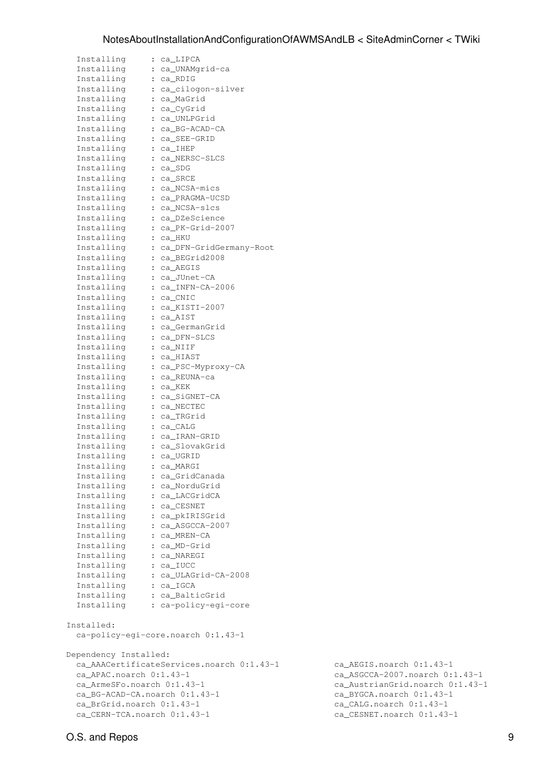| Installing                    | : ca_LIPCA                                |                                 |  |
|-------------------------------|-------------------------------------------|---------------------------------|--|
| Installing                    | : ca_UNAMgrid-ca                          |                                 |  |
| Installing                    | : ca_RDIG                                 |                                 |  |
| Installing                    | : ca_cilogon-silver                       |                                 |  |
| Installing                    | : ca_MaGrid                               |                                 |  |
| Installing                    | : ca_CyGrid                               |                                 |  |
| Installing                    | : ca_UNLPGrid                             |                                 |  |
| Installing                    | : ca_BG-ACAD-CA                           |                                 |  |
| Installing                    | : ca_SEE-GRID                             |                                 |  |
| Installing                    | : ca_IHEP                                 |                                 |  |
| Installing                    | : ca_NERSC-SLCS                           |                                 |  |
| Installing                    | : ca_SDG                                  |                                 |  |
| Installing                    | : ca_SRCE                                 |                                 |  |
| Installing                    | : ca_NCSA-mics                            |                                 |  |
| Installing                    | : ca_PRAGMA-UCSD                          |                                 |  |
| Installing                    | : ca_NCSA-slcs                            |                                 |  |
| Installing                    | : ca_DZeScience                           |                                 |  |
| Installing                    | : ca_PK-Grid-2007                         |                                 |  |
| Installing                    | : ca_HKU                                  |                                 |  |
| Installing                    | : ca_DFN-GridGermany-Root                 |                                 |  |
| Installing                    | : ca_BEGrid2008                           |                                 |  |
| Installing                    | : ca_AEGIS                                |                                 |  |
| Installing                    | : ca_JUnet-CA                             |                                 |  |
| Installing                    | : ca_INFN-CA-2006                         |                                 |  |
| Installing                    | : ca_CNIC                                 |                                 |  |
| Installing                    | : ca_KISTI-2007                           |                                 |  |
| Installing                    | : ca_AIST                                 |                                 |  |
| Installing                    | : ca_GermanGrid                           |                                 |  |
| Installing                    | : ca_DFN-SLCS                             |                                 |  |
| Installing                    | : ca_NIIF                                 |                                 |  |
| Installing                    | : ca_HIAST                                |                                 |  |
| Installing                    | : ca_PSC-Myproxy-CA                       |                                 |  |
| Installing                    | : ca_REUNA-ca                             |                                 |  |
| Installing                    | : ca_KEK                                  |                                 |  |
| Installing                    | : ca_SiGNET-CA                            |                                 |  |
| Installing                    | : ca_NECTEC                               |                                 |  |
| Installing                    | : ca_TRGrid                               |                                 |  |
| Installing                    | : ca_CALG                                 |                                 |  |
| Installing                    | : ca_IRAN-GRID                            |                                 |  |
| Installing                    | : ca_SlovakGrid                           |                                 |  |
| Installing                    | : ca_UGRID                                |                                 |  |
| Installing                    | : ca_MARGI                                |                                 |  |
| Installing                    | : ca_GridCanada                           |                                 |  |
| Installing                    | : ca_NorduGrid                            |                                 |  |
| Installing                    | : ca_LACGridCA                            |                                 |  |
| Installing                    | : ca_CESNET                               |                                 |  |
| Installing                    | : ca_pkIRISGrid                           |                                 |  |
| Installing                    | : ca_ASGCCA-2007                          |                                 |  |
| Installing                    | : ca_MREN-CA                              |                                 |  |
| Installing                    | : ca_MD-Grid                              |                                 |  |
| Installing                    | : ca_NAREGI                               |                                 |  |
| Installing                    | : ca_IUCC                                 |                                 |  |
| Installing                    | : ca_ULAGrid-CA-2008                      |                                 |  |
| Installing                    | : ca_IGCA                                 |                                 |  |
| Installing                    | : ca_BalticGrid                           |                                 |  |
| Installing                    | : ca-policy-egi-core                      |                                 |  |
|                               |                                           |                                 |  |
| Installed:                    |                                           |                                 |  |
|                               | ca-policy-egi-core.noarch 0:1.43-1        |                                 |  |
| Dependency Installed:         |                                           |                                 |  |
|                               | ca_AAACertificateServices.noarch 0:1.43-1 | ca_AEGIS.noarch 0:1.43-1        |  |
| ca_APAC.noarch 0:1.43-1       |                                           | ca_ASGCCA-2007.noarch 0:1.43-1  |  |
| ca_ArmeSFo.noarch 0:1.43-1    |                                           | ca_AustrianGrid.noarch 0:1.43-1 |  |
| ca_BG-ACAD-CA.noarch 0:1.43-1 |                                           | ca_BYGCA.noarch 0:1.43-1        |  |
|                               |                                           |                                 |  |

1 ca\_AEGIS.noarch 0:1.43-1 ca\_ASGCCA-2007.noarch 0:1.43-1 ca\_AustrianGrid.noarch 0:1.43-1 ca\_BYGCA.noarch 0:1.43-1 ca\_BrGrid.noarch 0:1.43-1 ca\_CALG.noarch 0:1.43-1  $ca\_CERN-TCA.noarch 0:1.43-1$  ca $_CESNET.noarch 0:1.43-1$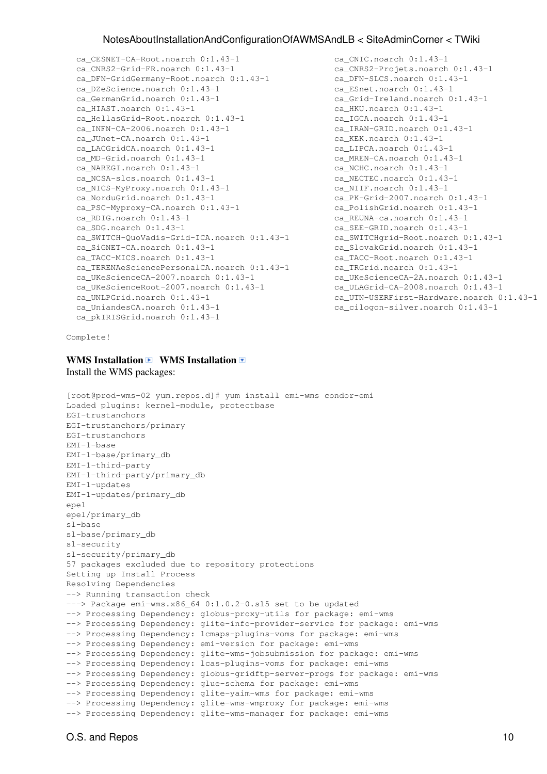```
 ca_CESNET-CA-Root.noarch 0:1.43-1 ca_CNIC.noarch 0:1.43-1 ca_CNRS2.noarch 0:1.43-1 
 ca_CNRS2-Grid-FR.noarch 0:1.43-1 ca_CNRS2-Projets.noarch 0:1.43-1 ca_CyGrid.noarch 0:1.43-1 
ca_DFN-GridGermany-Root.noarch 0:1.43-1 ca_DFN-SLCS.noarch 0:1.43-1
ca_DZeScience.noarch 0:1.43-1 ca_ESnet.noarch 0:1.43-1
 ca_GermanGrid.noarch 0:1.43-1 ca_Grid-Ireland.noarch 0:1.43-1 ca_GridCanada.noarch 0:1.43-1 
 ca_HIAST.noarch 0:1.43-1 ca_HKU.noarch 0:1.43-1 ca_HellasGrid-CA-2006.noarch 0:1.43-1 
ca HellasGrid-Root.noarch 0:1.43-1 ca IGCA.noarch 0:1.43-1
 ca_INFN-CA-2006.noarch 0:1.43-1 ca_IRAN-GRID.noarch 0:1.43-1 ca_IUCC.noarch 0:1.43-1 
ca_JUnet-CA.noarch 0:1.43-1 ca_KEK.noarch 0:1.43-1
 ca_LACGridCA.noarch 0:1.43-1 ca_LIPCA.noarch 0:1.43-1 ca_MARGI.noarch 0:1.43-1 
ca MD-Grid.noarch 0:1.43-1 ca MREN-CA.noarch 0:1.43-1ca NAREGI.noarch 0:1.43-1 ca NCHC.noarch 0:1.43-1ca_NCSA-slcs.noarch 0:1.43-1 ca_NECTEC.noarch 0:1.43-1
ca_NICS-MyProxy.noarch 0:1.43-1 ca_NIIF.noarch 0:1.43-1
ca NorduGrid.noarch 0:1.43-1 ca PK-Grid-2007.noarch 0:1.43-1
ca_PSC-Myproxy-CA.noarch 0:1.43-1 ca_PolishGrid.noarch 0:1.43-1
 ca_RDIG.noarch 0:1.43-1 ca_REUNA-ca.noarch 0:1.43-1 ca_RomanianGRID.noarch 0:1.43-1 
 ca_SDG.noarch 0:1.43-1 ca_SEE-GRID.noarch 0:1.43-1 ca_SRCE.noarch 0:1.43-1 
ca_SWITCH-QuoVadis-Grid-ICA.noarch 0:1.43-1 ca_SWITCHgrid-Root.noarch 0:1.43-1
 ca_SiGNET-CA.noarch 0:1.43-1 ca_SlovakGrid.noarch 0:1.43-1 ca_TACC-Classic.noarch 0:1.43-1 
ca_TACC-MICS.noarch 0:1.43-1 ca_TACC-Root.noarch 0:1.43-1
ca TERENAeSciencePersonalCA.noarch 0:1.43-1 ca TRGrid.noarch 0:1.43-1
 ca_UKeScienceCA-2007.noarch 0:1.43-1 ca_UKeScienceCA-2A.noarch 0:1.43-1 ca_UKeScienceCA-2B.noarch 0:1.43-1 
 ca_UKeScienceRoot-2007.noarch 0:1.43-1 ca_ULAGrid-CA-2008.noarch 0:1.43-1 ca_UNAMgrid-ca.noarch 0:1.43-1 
ca_UNLPGrid.noarch 0:1.43-1 ca_UTN-USERFirst-Hardware.noarch 0:1.43-1
 ca_UniandesCA.noarch 0:1.43-1 ca_cilogon-silver.noarch 0:1.43-1 ca_ncsa-gridshib-ca.noarch 0:1.43-1 
 ca_pkIRISGrid.noarch 0:1.43-1
```
Complete!

# **WMS Installation D WMS** Installation D Install the WMS packages:

```
[root@prod-wms-02 yum.repos.d]# yum install emi-wms condor-emi
Loaded plugins: kernel-module, protectbase
EGI-trustanchors | 951 B 00:000 B 00:000 B 00:000 B 00:000 B 00:000 B 00:000 B 00:000 B 00:000 B 00:000 B 00:0
EGI-trustanchors/primary
EGI-trustanchors 205/205
EMI-1-baseEMI-1-base/primary_db
EMI-I-third-partyEMI-1-third-party/primary_db
EMI-1-updates \blacksquareEMI-1-updates/primary_db
epel and the set of the set of the set of the set of the set of the set of the set of the set of the set of th
epel/primary_db | 3.7 MB 00:01 
sl-base | 2.1 kB 00:000 | 2.1 kB 00:000 | 2.1 kB 00:000 | 2.1 kB 00:000 | 2.1 kB 00:000 | 2.1 kB 00:000 | 2.1 kB 00:000 | 2.1 kB 00:000 | 2.1 kB 00:000 | 2.1 kB 00:000 | 2.1 kB 00:000 | 2.1 kB 00:000 | 2.1 kB 00:000 | 2.1 
sl-base/primary_db
sl-security \overline{ }sl-security/primary_db
57 packages excluded due to repository protections
Setting up Install Process
Resolving Dependencies
--> Running transaction check
---> Package emi-wms.x86_64 0:1.0.2-0.sl5 set to be updated
--> Processing Dependency: globus-proxy-utils for package: emi-wms
--> Processing Dependency: glite-info-provider-service for package: emi-wms
--> Processing Dependency: lcmaps-plugins-voms for package: emi-wms
--> Processing Dependency: emi-version for package: emi-wms
--> Processing Dependency: glite-wms-jobsubmission for package: emi-wms
--> Processing Dependency: lcas-plugins-voms for package: emi-wms
--> Processing Dependency: globus-gridftp-server-progs for package: emi-wms
--> Processing Dependency: glue-schema for package: emi-wms
--> Processing Dependency: glite-yaim-wms for package: emi-wms
--> Processing Dependency: glite-wms-wmproxy for package: emi-wms
--> Processing Dependency: glite-wms-manager for package: emi-wms
```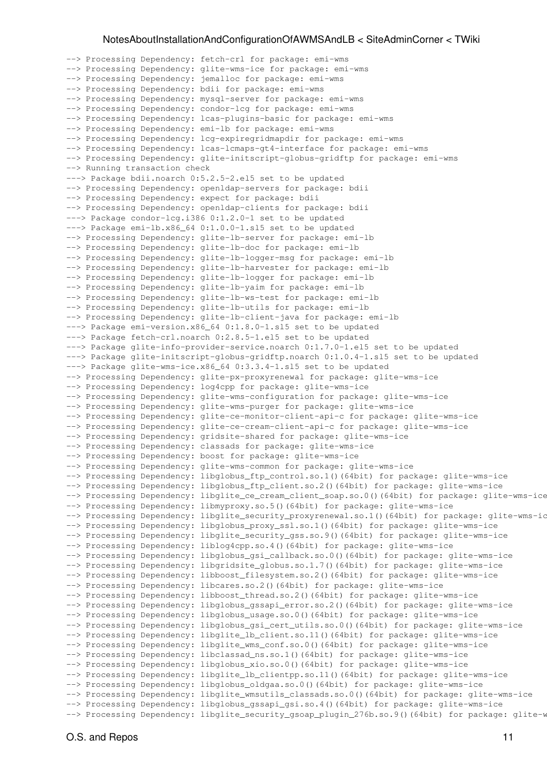```
--> Processing Dependency: fetch-crl for package: emi-wms
--> Processing Dependency: glite-wms-ice for package: emi-wms
--> Processing Dependency: jemalloc for package: emi-wms
--> Processing Dependency: bdii for package: emi-wms
--> Processing Dependency: mysql-server for package: emi-wms
--> Processing Dependency: condor-lcg for package: emi-wms
--> Processing Dependency: lcas-plugins-basic for package: emi-wms
--> Processing Dependency: emi-lb for package: emi-wms
--> Processing Dependency: lcg-expiregridmapdir for package: emi-wms
--> Processing Dependency: lcas-lcmaps-gt4-interface for package: emi-wms
--> Processing Dependency: glite-initscript-globus-gridftp for package: emi-wms
--> Running transaction check
---> Package bdii.noarch 0:5.2.5-2.el5 set to be updated
--> Processing Dependency: openldap-servers for package: bdii
--> Processing Dependency: expect for package: bdii
--> Processing Dependency: openldap-clients for package: bdii
---> Package condor-lcg.i386 0:1.2.0-1 set to be updated
---> Package emi-lb.x86_64 0:1.0.0-1.sl5 set to be updated
--> Processing Dependency: glite-lb-server for package: emi-lb
--> Processing Dependency: glite-lb-doc for package: emi-lb
--> Processing Dependency: glite-lb-logger-msg for package: emi-lb
--> Processing Dependency: glite-lb-harvester for package: emi-lb
--> Processing Dependency: glite-lb-logger for package: emi-lb
--> Processing Dependency: glite-lb-yaim for package: emi-lb
--> Processing Dependency: glite-lb-ws-test for package: emi-lb
--> Processing Dependency: glite-lb-utils for package: emi-lb
--> Processing Dependency: glite-lb-client-java for package: emi-lb
---> Package emi-version.x86_64 0:1.8.0-1.sl5 set to be updated
---> Package fetch-crl.noarch 0:2.8.5-1.el5 set to be updated
---> Package glite-info-provider-service.noarch 0:1.7.0-1.el5 set to be updated
---> Package glite-initscript-globus-gridftp.noarch 0:1.0.4-1.sl5 set to be updated
---> Package glite-wms-ice.x86_64 0:3.3.4-1.sl5 set to be updated
--> Processing Dependency: glite-px-proxyrenewal for package: glite-wms-ice
--> Processing Dependency: log4cpp for package: glite-wms-ice
--> Processing Dependency: glite-wms-configuration for package: glite-wms-ice
--> Processing Dependency: glite-wms-purger for package: glite-wms-ice
--> Processing Dependency: glite-ce-monitor-client-api-c for package: glite-wms-ice
--> Processing Dependency: glite-ce-cream-client-api-c for package: glite-wms-ice
--> Processing Dependency: gridsite-shared for package: glite-wms-ice
--> Processing Dependency: classads for package: glite-wms-ice
--> Processing Dependency: boost for package: glite-wms-ice
--> Processing Dependency: glite-wms-common for package: glite-wms-ice
--> Processing Dependency: libglobus_ftp_control.so.1()(64bit) for package: glite-wms-ice
--> Processing Dependency: libglobus_ftp_client.so.2()(64bit) for package: glite-wms-ice
--> Processing Dependency: libglite_ce_cream_client_soap.so.0()(64bit) for package: glite-wms-ice
--> Processing Dependency: libmyproxy.so.5()(64bit) for package: glite-wms-ice
--> Processing Dependency: libglite_security_proxyrenewal.so.1()(64bit) for package: glite-wms-ic
--> Processing Dependency: libglobus_proxy_ssl.so.1()(64bit) for package: glite-wms-ice
--> Processing Dependency: libglite_security_gss.so.9()(64bit) for package: glite-wms-ice
--> Processing Dependency: liblog4cpp.so.4()(64bit) for package: glite-wms-ice
--> Processing Dependency: libglobus_gsi_callback.so.0()(64bit) for package: glite-wms-ice
--> Processing Dependency: libgridsite_globus.so.1.7()(64bit) for package: glite-wms-ice
--> Processing Dependency: libboost_filesystem.so.2()(64bit) for package: glite-wms-ice
--> Processing Dependency: libcares.so.2()(64bit) for package: glite-wms-ice
--> Processing Dependency: libboost_thread.so.2()(64bit) for package: glite-wms-ice
--> Processing Dependency: libglobus_gssapi_error.so.2()(64bit) for package: glite-wms-ice
--> Processing Dependency: libglobus_usage.so.0()(64bit) for package: glite-wms-ice
--> Processing Dependency: libglobus_gsi_cert_utils.so.0()(64bit) for package: glite-wms-ice
--> Processing Dependency: libglite_lb_client.so.11()(64bit) for package: glite-wms-ice
--> Processing Dependency: libglite_wms_conf.so.0()(64bit) for package: glite-wms-ice
--> Processing Dependency: libclassad_ns.so.1()(64bit) for package: glite-wms-ice
--> Processing Dependency: libglobus_xio.so.0()(64bit) for package: glite-wms-ice
--> Processing Dependency: libglite_lb_clientpp.so.11()(64bit) for package: glite-wms-ice
--> Processing Dependency: libglobus_oldgaa.so.0()(64bit) for package: glite-wms-ice
--> Processing Dependency: libglite_wmsutils_classads.so.0()(64bit) for package: glite-wms-ice
--> Processing Dependency: libglobus_gssapi_gsi.so.4()(64bit) for package: glite-wms-ice
--> Processing Dependency: libglite_security_gsoap_plugin_276b.so.9()(64bit) for package: glite-w
```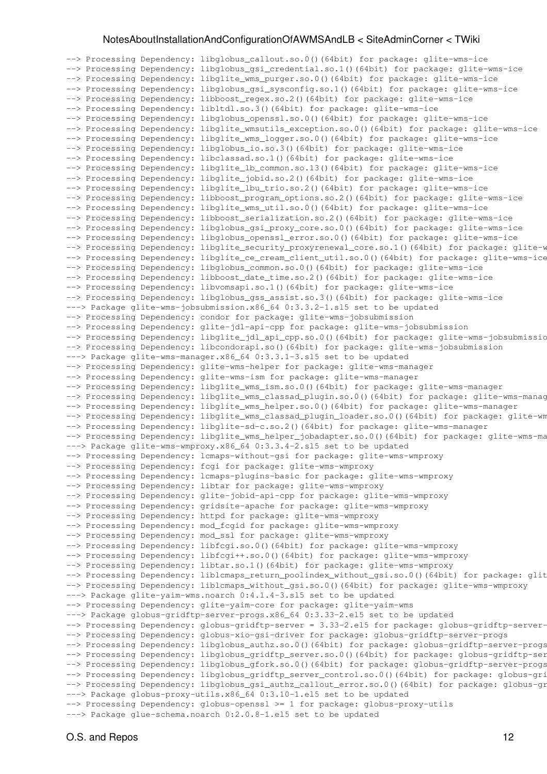--> Processing Dependency: libglobus\_callout.so.0()(64bit) for package: glite-wms-ice --> Processing Dependency: libglobus\_gsi\_credential.so.1()(64bit) for package: glite-wms-ice --> Processing Dependency: libglite\_wms\_purger.so.0()(64bit) for package: glite-wms-ice --> Processing Dependency: libglobus\_gsi\_sysconfig.so.1()(64bit) for package: glite-wms-ice --> Processing Dependency: libboost\_regex.so.2()(64bit) for package: glite-wms-ice --> Processing Dependency: libltdl.so.3()(64bit) for package: glite-wms-ice --> Processing Dependency: libglobus\_openssl.so.0()(64bit) for package: glite-wms-ice --> Processing Dependency: libglite\_wmsutils\_exception.so.0()(64bit) for package: glite-wms-ice --> Processing Dependency: libglite\_wms\_logger.so.0()(64bit) for package: glite-wms-ice --> Processing Dependency: libglobus\_io.so.3()(64bit) for package: glite-wms-ice --> Processing Dependency: libclassad.so.1()(64bit) for package: glite-wms-ice --> Processing Dependency: libglite\_lb\_common.so.13()(64bit) for package: glite-wms-ice --> Processing Dependency: libglite\_jobid.so.2()(64bit) for package: glite-wms-ice --> Processing Dependency: libglite\_lbu\_trio.so.2()(64bit) for package: glite-wms-ice --> Processing Dependency: libboost\_program\_options.so.2()(64bit) for package: glite-wms-ice --> Processing Dependency: libglite\_wms\_util.so.0()(64bit) for package: glite-wms-ice --> Processing Dependency: libboost\_serialization.so.2()(64bit) for package: glite-wms-ice --> Processing Dependency: libglobus\_gsi\_proxy\_core.so.0()(64bit) for package: glite-wms-ice --> Processing Dependency: libglobus\_openssl\_error.so.0()(64bit) for package: glite-wms-ice --> Processing Dependency: libglite\_security\_proxyrenewal\_core.so.1()(64bit) for package: glite-w --> Processing Dependency: libglite\_ce\_cream\_client\_util.so.0()(64bit) for package: glite-wms-ice --> Processing Dependency: libglobus\_common.so.0()(64bit) for package: glite-wms-ice --> Processing Dependency: libboost\_date\_time.so.2()(64bit) for package: glite-wms-ice --> Processing Dependency: libvomsapi.so.1()(64bit) for package: glite-wms-ice --> Processing Dependency: libglobus\_gss\_assist.so.3()(64bit) for package: glite-wms-ice ---> Package glite-wms-jobsubmission.x86\_64 0:3.3.2-1.sl5 set to be updated --> Processing Dependency: condor for package: glite-wms-jobsubmission --> Processing Dependency: glite-jdl-api-cpp for package: glite-wms-jobsubmission --> Processing Dependency: libglite\_jdl\_api\_cpp.so.0()(64bit) for package: glite-wms-jobsubmissio --> Processing Dependency: libcondorapi.so()(64bit) for package: glite-wms-jobsubmission ---> Package glite-wms-manager.x86\_64 0:3.3.1-3.sl5 set to be updated --> Processing Dependency: glite-wms-helper for package: glite-wms-manager --> Processing Dependency: glite-wms-ism for package: glite-wms-manager --> Processing Dependency: libglite\_wms\_ism.so.0()(64bit) for package: glite-wms-manager --> Processing Dependency: libglite\_wms\_classad\_plugin.so.0()(64bit) for package: glite-wms-manag --> Processing Dependency: libglite\_wms\_helper.so.0()(64bit) for package: glite-wms-manager --> Processing Dependency: libglite\_wms\_classad\_plugin\_loader.so.0()(64bit) for package: glite-wm --> Processing Dependency: libglite-sd-c.so.2()(64bit) for package: glite-wms-manager --> Processing Dependency: libglite\_wms\_helper\_jobadapter.so.0()(64bit) for package: glite-wms-ma ---> Package glite-wms-wmproxy.x86\_64 0:3.3.4-2.sl5 set to be updated --> Processing Dependency: lcmaps-without-gsi for package: glite-wms-wmproxy --> Processing Dependency: fcgi for package: glite-wms-wmproxy --> Processing Dependency: lcmaps-plugins-basic for package: glite-wms-wmproxy --> Processing Dependency: libtar for package: glite-wms-wmproxy --> Processing Dependency: glite-jobid-api-cpp for package: glite-wms-wmproxy --> Processing Dependency: gridsite-apache for package: glite-wms-wmproxy --> Processing Dependency: httpd for package: glite-wms-wmproxy --> Processing Dependency: mod\_fcgid for package: glite-wms-wmproxy --> Processing Dependency: mod\_ssl for package: glite-wms-wmproxy --> Processing Dependency: libfcgi.so.0()(64bit) for package: glite-wms-wmproxy --> Processing Dependency: libfcgi++.so.0()(64bit) for package: glite-wms-wmproxy --> Processing Dependency: libtar.so.1()(64bit) for package: glite-wms-wmproxy --> Processing Dependency: liblcmaps\_return\_poolindex\_without\_gsi.so.0()(64bit) for package: glit --> Processing Dependency: liblcmaps\_without\_gsi.so.0()(64bit) for package: glite-wms-wmproxy ---> Package glite-yaim-wms.noarch 0:4.1.4-3.sl5 set to be updated --> Processing Dependency: glite-yaim-core for package: glite-yaim-wms ---> Package globus-gridftp-server-progs.x86\_64 0:3.33-2.el5 set to be updated --> Processing Dependency: globus-gridftp-server = 3.33-2.el5 for package: globus-gridftp-server---> Processing Dependency: globus-xio-gsi-driver for package: globus-gridftp-server-progs --> Processing Dependency: libglobus\_authz.so.0()(64bit) for package: globus-gridftp-server-progs --> Processing Dependency: libglobus\_gridftp\_server.so.0()(64bit) for package: globus-gridftp-ser --> Processing Dependency: libglobus\_gfork.so.0()(64bit) for package: globus-gridftp-server-progs --> Processing Dependency: libglobus\_gridftp\_server\_control.so.0()(64bit) for package: globus-gri --> Processing Dependency: libglobus\_gsi\_authz\_callout\_error.so.0()(64bit) for package: globus-gr ---> Package globus-proxy-utils.x86\_64 0:3.10-1.el5 set to be updated --> Processing Dependency: globus-openssl >= 1 for package: globus-proxy-utils ---> Package glue-schema.noarch 0:2.0.8-1.el5 set to be updated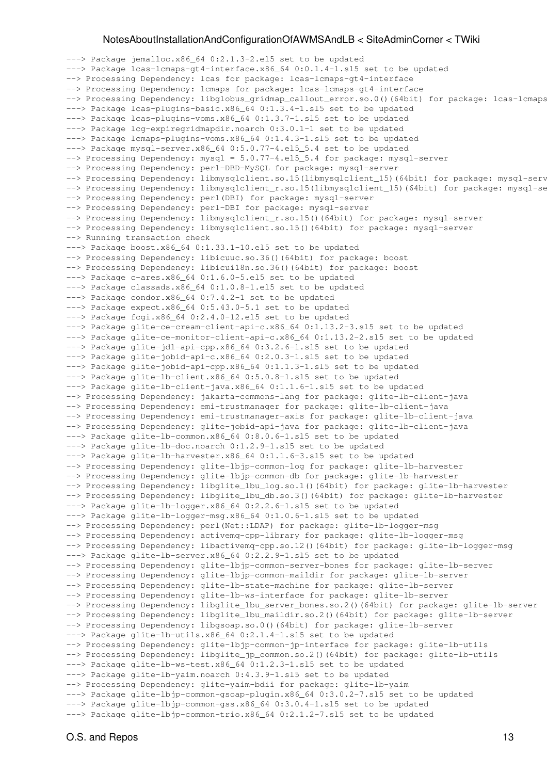```
---> Package jemalloc.x86_64 0:2.1.3-2.el5 set to be updated
---> Package lcas-lcmaps-gt4-interface.x86_64 0:0.1.4-1.sl5 set to be updated
--> Processing Dependency: lcas for package: lcas-lcmaps-gt4-interface
--> Processing Dependency: lcmaps for package: lcas-lcmaps-gt4-interface
--> Processing Dependency: libglobus_gridmap_callout_error.so.0()(64bit) for package: lcas-lcmaps
---> Package lcas-plugins-basic.x86_64 0:1.3.4-1.sl5 set to be updated
---> Package lcas-plugins-voms.x86 64 0:1.3.7-1.sl5 set to be updated
---> Package lcg-expiregridmapdir.noarch 0:3.0.1-1 set to be updated
---> Package lcmaps-plugins-voms.x86_64 0:1.4.3-1.sl5 set to be updated
---> Package mysql-server.x86_64 0:5.0.77-4.el5_5.4 set to be updated
--> Processing Dependency: mysql = 5.0.77-4.el5_5.4 for package: mysql-server
--> Processing Dependency: perl-DBD-MySQL for package: mysql-server
--> Processing Dependency: libmysqlclient.so.15(libmysqlclient_15)(64bit) for package: mysql-serv
--> Processing Dependency: libmysqlclient_r.so.15(libmysglclient_15)(64bit) for package: mysql-se
--> Processing Dependency: perl(DBI) for package: mysql-server
--> Processing Dependency: perl-DBI for package: mysql-server
--> Processing Dependency: libmysqlclient_r.so.15()(64bit) for package: mysql-server
--> Processing Dependency: libmysqlclient.so.15()(64bit) for package: mysql-server
--> Running transaction check
---> Package boost.x86 64 0:1.33.1-10.el5 set to be updated
--> Processing Dependency: libicuuc.so.36()(64bit) for package: boost
--> Processing Dependency: libicui18n.so.36()(64bit) for package: boost
---> Package c-ares.x86_64 0:1.6.0-5.el5 set to be updated
---> Package classads.x86_64 0:1.0.8-1.el5 set to be updated
---> Package condor.x86_64 0:7.4.2-1 set to be updated
---> Package expect.x86_64 0:5.43.0-5.1 set to be updated
---> Package fcgi.x86_64 0:2.4.0-12.el5 set to be updated
---> Package glite-ce-cream-client-api-c.x86_64 0:1.13.2-3.sl5 set to be updated
---> Package glite-ce-monitor-client-api-c.x86_64 0:1.13.2-2.sl5 set to be updated
---> Package glite-jdl-api-cpp.x86_64 0:3.2.6-1.sl5 set to be updated
---> Package glite-jobid-api-c.x86_64 0:2.0.3-1.sl5 set to be updated
---> Package glite-jobid-api-cpp.x86_64 0:1.1.3-1.sl5 set to be updated
---> Package glite-lb-client.x86_64 0:5.0.8-1.sl5 set to be updated
---> Package glite-lb-client-java.x86_64 0:1.1.6-1.sl5 set to be updated
--> Processing Dependency: jakarta-commons-lang for package: glite-lb-client-java
--> Processing Dependency: emi-trustmanager for package: glite-lb-client-java
--> Processing Dependency: emi-trustmanager-axis for package: glite-lb-client-java
--> Processing Dependency: glite-jobid-api-java for package: glite-lb-client-java
---> Package glite-lb-common.x86_64 0:8.0.6-1.sl5 set to be updated
---> Package glite-lb-doc.noarch 0:1.2.9-1.sl5 set to be updated
---> Package glite-lb-harvester.x86_64 0:1.1.6-3.sl5 set to be updated
--> Processing Dependency: glite-lbjp-common-log for package: glite-lb-harvester
--> Processing Dependency: glite-lbjp-common-db for package: glite-lb-harvester
--> Processing Dependency: libglite_lbu_log.so.1()(64bit) for package: glite-lb-harvester
--> Processing Dependency: libglite_lbu_db.so.3()(64bit) for package: glite-lb-harvester
---> Package glite-lb-logger.x86_64 0:2.2.6-1.sl5 set to be updated
---> Package glite-lb-logger-msg.x86_64 0:1.0.6-1.sl5 set to be updated
--> Processing Dependency: perl(Net::LDAP) for package: glite-lb-logger-msg
--> Processing Dependency: activemq-cpp-library for package: glite-lb-logger-msg
--> Processing Dependency: libactivemq-cpp.so.12()(64bit) for package: glite-lb-logger-msg
---> Package glite-lb-server.x86_64 0:2.2.9-1.sl5 set to be updated
--> Processing Dependency: glite-lbjp-common-server-bones for package: glite-lb-server
--> Processing Dependency: glite-lbjp-common-maildir for package: glite-lb-server
--> Processing Dependency: glite-lb-state-machine for package: glite-lb-server
--> Processing Dependency: glite-lb-ws-interface for package: glite-lb-server
--> Processing Dependency: libglite_lbu_server_bones.so.2()(64bit) for package: glite-lb-server
--> Processing Dependency: libglite_lbu_maildir.so.2()(64bit) for package: glite-lb-server
--> Processing Dependency: libgsoap.so.0()(64bit) for package: glite-lb-server
---> Package glite-lb-utils.x86_64 0:2.1.4-1.sl5 set to be updated
--> Processing Dependency: glite-lbjp-common-jp-interface for package: glite-lb-utils
--> Processing Dependency: libglite_jp_common.so.2()(64bit) for package: glite-lb-utils
---> Package glite-lb-ws-test.x86_64 0:1.2.3-1.sl5 set to be updated
---> Package glite-lb-yaim.noarch 0:4.3.9-1.sl5 set to be updated
--> Processing Dependency: glite-yaim-bdii for package: glite-lb-yaim
---> Package glite-lbjp-common-gsoap-plugin.x86_64 0:3.0.2-7.sl5 set to be updated
---> Package glite-lbjp-common-gss.x86_64 0:3.0.4-1.sl5 set to be updated
---> Package glite-lbjp-common-trio.x86_64 0:2.1.2-7.sl5 set to be updated
```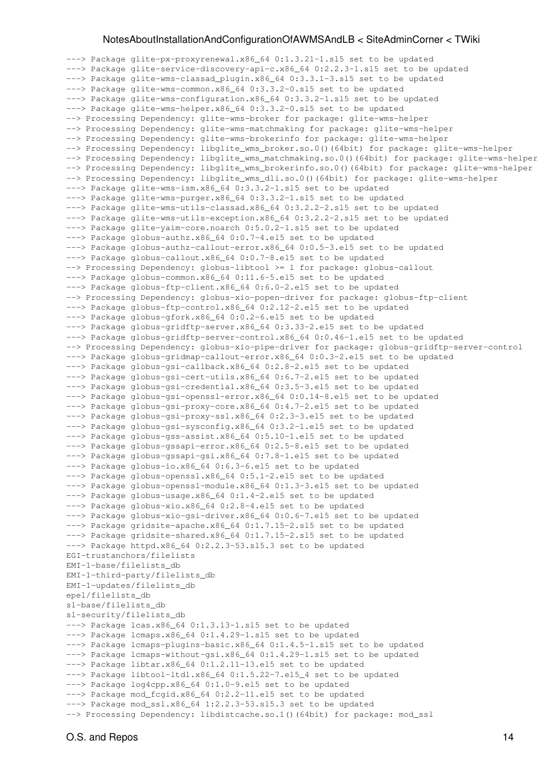---> Package glite-px-proxyrenewal.x86 64 0:1.3.21-1.sl5 set to be updated ---> Package glite-service-discovery-api-c.x86\_64 0:2.2.3-1.sl5 set to be updated ---> Package glite-wms-classad\_plugin.x86\_64 0:3.3.1-3.sl5 set to be updated ---> Package glite-wms-common.x86\_64 0:3.3.2-0.sl5 set to be updated ---> Package glite-wms-configuration.x86\_64 0:3.3.2-1.sl5 set to be updated ---> Package glite-wms-helper.x86\_64 0:3.3.2-0.sl5 set to be updated --> Processing Dependency: glite-wms-broker for package: glite-wms-helper --> Processing Dependency: glite-wms-matchmaking for package: glite-wms-helper --> Processing Dependency: glite-wms-brokerinfo for package: glite-wms-helper --> Processing Dependency: libglite\_wms\_broker.so.0()(64bit) for package: glite-wms-helper --> Processing Dependency: libglite\_wms\_matchmaking.so.0()(64bit) for package: glite-wms-helper --> Processing Dependency: libglite wms brokerinfo.so.0()(64bit) for package: glite-wms-helper --> Processing Dependency: libglite\_wms\_dli.so.0()(64bit) for package: glite-wms-helper ---> Package glite-wms-ism.x86\_64 0:3.3.2-1.sl5 set to be updated ---> Package glite-wms-purger.x86\_64 0:3.3.2-1.sl5 set to be updated ---> Package glite-wms-utils-classad.x86\_64 0:3.2.2-2.sl5 set to be updated ---> Package glite-wms-utils-exception.x86\_64 0:3.2.2-2.sl5 set to be updated ---> Package glite-yaim-core.noarch 0:5.0.2-1.sl5 set to be updated ---> Package globus-authz.x86\_64 0:0.7-4.el5 set to be updated ---> Package globus-authz-callout-error.x86 64 0:0.5-3.el5 set to be updated ---> Package globus-callout.x86\_64 0:0.7-8.el5 set to be updated --> Processing Dependency: globus-libtool >= 1 for package: globus-callout ---> Package globus-common.x86\_64 0:11.6-5.el5 set to be updated ---> Package globus-ftp-client.x86\_64 0:6.0-2.el5 set to be updated --> Processing Dependency: globus-xio-popen-driver for package: globus-ftp-client ---> Package globus-ftp-control.x86\_64 0:2.12-2.el5 set to be updated ---> Package globus-gfork.x86\_64 0:0.2-6.el5 set to be updated ---> Package globus-gridftp-server.x86\_64 0:3.33-2.el5 set to be updated ---> Package globus-gridftp-server-control.x86\_64 0:0.46-1.el5 set to be updated --> Processing Dependency: globus-xio-pipe-driver for package: globus-gridftp-server-control ---> Package globus-gridmap-callout-error.x86\_64 0:0.3-2.el5 set to be updated ---> Package globus-gsi-callback.x86\_64 0:2.8-2.el5 set to be updated ---> Package globus-gsi-cert-utils.x86\_64 0:6.7-2.el5 set to be updated ---> Package globus-gsi-credential.x86\_64 0:3.5-3.el5 set to be updated ---> Package globus-gsi-openssl-error.x86\_64 0:0.14-8.el5 set to be updated ---> Package globus-gsi-proxy-core.x86\_64 0:4.7-2.el5 set to be updated ---> Package globus-gsi-proxy-ssl.x86\_64 0:2.3-3.el5 set to be updated ---> Package globus-gsi-sysconfig.x86\_64 0:3.2-1.el5 set to be updated ---> Package globus-gss-assist.x86\_64 0:5.10-1.el5 set to be updated ---> Package globus-gssapi-error.x86\_64 0:2.5-8.el5 set to be updated ---> Package globus-gssapi-gsi.x86\_64 0:7.8-1.el5 set to be updated ---> Package globus-io.x86\_64 0:6.3-6.el5 set to be updated ---> Package globus-openssl.x86\_64 0:5.1-2.el5 set to be updated ---> Package globus-openssl-module.x86\_64 0:1.3-3.el5 set to be updated ---> Package globus-usage.x86\_64 0:1.4-2.el5 set to be updated ---> Package globus-xio.x86\_64 0:2.8-4.el5 set to be updated ---> Package globus-xio-gsi-driver.x86\_64 0:0.6-7.el5 set to be updated ---> Package gridsite-apache.x86\_64 0:1.7.15-2.sl5 set to be updated ---> Package gridsite-shared.x86\_64 0:1.7.15-2.sl5 set to be updated ---> Package httpd.x86\_64 0:2.2.3-53.sl5.3 set to be updated EGI-trustanchors/filelists EMI-1-base/filelists\_db EMI-1-third-party/filelists\_db EMI-1-updates/filelists\_db epel/filelists\_db sl-base/filelists\_db sl-security/filelists\_db ---> Package lcas.x86\_64 0:1.3.13-1.sl5 set to be updated ---> Package lcmaps.x86\_64 0:1.4.29-1.sl5 set to be updated ---> Package lcmaps-plugins-basic.x86\_64 0:1.4.5-1.sl5 set to be updated ---> Package lcmaps-without-gsi.x86\_64 0:1.4.29-1.sl5 set to be updated ---> Package libtar.x86\_64 0:1.2.11-13.el5 set to be updated ---> Package libtool-ltdl.x86\_64 0:1.5.22-7.el5\_4 set to be updated ---> Package log4cpp.x86\_64 0:1.0-9.el5 set to be updated ---> Package mod\_fcgid.x86\_64 0:2.2-11.el5 set to be updated ---> Package mod\_ssl.x86\_64 1:2.2.3-53.sl5.3 set to be updated --> Processing Dependency: libdistcache.so.1()(64bit) for package: mod\_ssl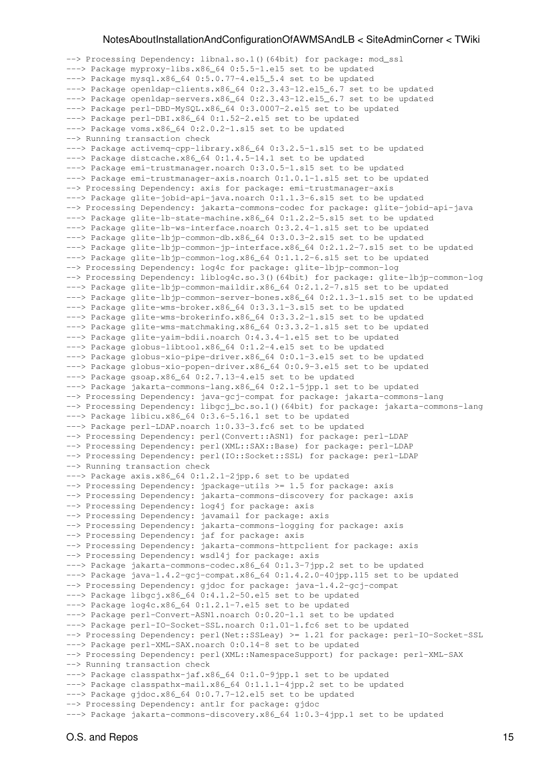```
--> Processing Dependency: libnal.so.1()(64bit) for package: mod_ssl
---> Package myproxy-libs.x86_64 0:5.5-1.el5 set to be updated
---> Package mysql.x86_64 0:5.0.77-4.el5_5.4 set to be updated
---> Package openldap-clients.x86_64 0:2.3.43-12.el5_6.7 set to be updated
---> Package openldap-servers.x86_64 0:2.3.43-12.el5_6.7 set to be updated
---> Package perl-DBD-MySOL.x86 64 0:3.0007-2.el5 set to be updated
---> Package perl-DBI.x86 64 0:1.52-2.el5 set to be updated
---> Package voms.x86_64 0:2.0.2-1.sl5 set to be updated
--> Running transaction check
---> Package activemq-cpp-library.x86_64 0:3.2.5-1.sl5 set to be updated
---> Package distcache.x86_64 0:1.4.5-14.1 set to be updated
---> Package emi-trustmanager.noarch 0:3.0.5-1.sl5 set to be updated
---> Package emi-trustmanager-axis.noarch 0:1.0.1-1.sl5 set to be updated
--> Processing Dependency: axis for package: emi-trustmanager-axis
---> Package glite-jobid-api-java.noarch 0:1.1.3-6.sl5 set to be updated
--> Processing Dependency: jakarta-commons-codec for package: glite-jobid-api-java
---> Package glite-lb-state-machine.x86_64 0:1.2.2-5.sl5 set to be updated
---> Package glite-lb-ws-interface.noarch 0:3.2.4-1.sl5 set to be updated
---> Package glite-lbjp-common-db.x86_64 0:3.0.3-2.sl5 set to be updated
---> Package glite-lbjp-common-jp-interface.x86_64 0:2.1.2-7.sl5 set to be updated
---> Package glite-lbjp-common-log.x86_64 0:1.1.2-6.sl5 set to be updated
--> Processing Dependency: log4c for package: glite-lbjp-common-log
--> Processing Dependency: liblog4c.so.3()(64bit) for package: glite-lbjp-common-log
---> Package glite-lbjp-common-maildir.x86_64 0:2.1.2-7.sl5 set to be updated
---> Package glite-lbjp-common-server-bones.x86_64 0:2.1.3-1.sl5 set to be updated
---> Package glite-wms-broker.x86_64 0:3.3.1-3.sl5 set to be updated
---> Package glite-wms-brokerinfo.x86_64 0:3.3.2-1.sl5 set to be updated
---> Package glite-wms-matchmaking.x86_64 0:3.3.2-1.sl5 set to be updated
---> Package glite-yaim-bdii.noarch 0:4.3.4-1.el5 set to be updated
---> Package globus-libtool.x86_64 0:1.2-4.el5 set to be updated
---> Package globus-xio-pipe-driver.x86_64 0:0.1-3.el5 set to be updated
---> Package globus-xio-popen-driver.x86_64 0:0.9-3.el5 set to be updated
---> Package gsoap.x86_64 0:2.7.13-4.el5 set to be updated
---> Package jakarta-commons-lang.x86_64 0:2.1-5jpp.1 set to be updated
--> Processing Dependency: java-gcj-compat for package: jakarta-commons-lang
--> Processing Dependency: libgcj_bc.so.1()(64bit) for package: jakarta-commons-lang
---> Package libicu.x86_64 0:3.6-5.16.1 set to be updated
---> Package perl-LDAP.noarch 1:0.33-3.fc6 set to be updated
--> Processing Dependency: perl(Convert::ASN1) for package: perl-LDAP
--> Processing Dependency: perl(XML::SAX::Base) for package: perl-LDAP
--> Processing Dependency: perl(IO::Socket::SSL) for package: perl-LDAP
--> Running transaction check
---> Package axis.x86_64 0:1.2.1-2jpp.6 set to be updated
--> Processing Dependency: jpackage-utils >= 1.5 for package: axis
--> Processing Dependency: jakarta-commons-discovery for package: axis
--> Processing Dependency: log4j for package: axis
--> Processing Dependency: javamail for package: axis
--> Processing Dependency: jakarta-commons-logging for package: axis
--> Processing Dependency: jaf for package: axis
--> Processing Dependency: jakarta-commons-httpclient for package: axis
--> Processing Dependency: wsdl4j for package: axis
---> Package jakarta-commons-codec.x86_64 0:1.3-7jpp.2 set to be updated
---> Package java-1.4.2-gcj-compat.x86_64 0:1.4.2.0-40jpp.115 set to be updated
--> Processing Dependency: gjdoc for package: java-1.4.2-gcj-compat
---> Package libgcj.x86_64 0:4.1.2-50.el5 set to be updated
---> Package log4c.x86_64 0:1.2.1-7.el5 set to be updated
---> Package perl-Convert-ASN1.noarch 0:0.20-1.1 set to be updated
---> Package perl-IO-Socket-SSL.noarch 0:1.01-1.fc6 set to be updated
--> Processing Dependency: perl(Net::SSLeay) >= 1.21 for package: perl-IO-Socket-SSL
---> Package perl-XML-SAX.noarch 0:0.14-8 set to be updated
--> Processing Dependency: perl(XML::NamespaceSupport) for package: perl-XML-SAX
--> Running transaction check
---> Package classpathx-jaf.x86_64 0:1.0-9jpp.1 set to be updated
---> Package classpathx-mail.x86_64 0:1.1.1-4jpp.2 set to be updated
---> Package gjdoc.x86_64 0:0.7.7-12.el5 set to be updated
--> Processing Dependency: antlr for package: gjdoc
---> Package jakarta-commons-discovery.x86_64 1:0.3-4jpp.1 set to be updated
```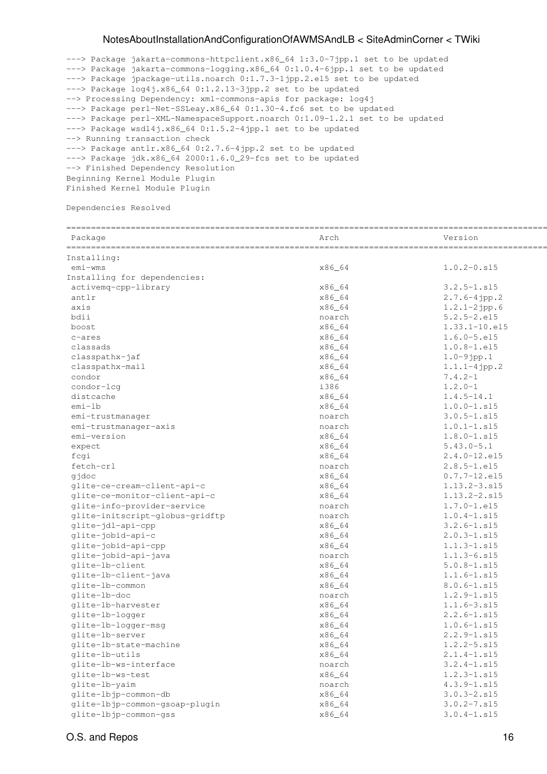---> Package jakarta-commons-httpclient.x86\_64 1:3.0-7jpp.1 set to be updated ---> Package jakarta-commons-logging.x86\_64 0:1.0.4-6jpp.1 set to be updated ---> Package jpackage-utils.noarch 0:1.7.3-1jpp.2.el5 set to be updated ---> Package log4j.x86\_64 0:1.2.13-3jpp.2 set to be updated --> Processing Dependency: xml-commons-apis for package: log4j ---> Package perl-Net-SSLeay.x86\_64 0:1.30-4.fc6 set to be updated ---> Package perl-XML-NamespaceSupport.noarch 0:1.09-1.2.1 set to be updated ---> Package wsdl4j.x86\_64 0:1.5.2-4jpp.1 set to be updated --> Running transaction check ---> Package antlr.x86\_64 0:2.7.6-4jpp.2 set to be updated  $---$ > Package  $jdk.x86_64_2000:1.6.0_29-fcs$  set to be updated --> Finished Dependency Resolution Beginning Kernel Module Plugin Finished Kernel Module Plugin

Dependencies Resolved

| Package                         | Arch   | Version           |
|---------------------------------|--------|-------------------|
| Installing:                     |        |                   |
| emi-wms                         | x86_64 | $1.0.2 - 0. s15$  |
| Installing for dependencies:    |        |                   |
| activemq-cpp-library            | x86_64 | $3.2.5 - 1. s15$  |
| antlr                           | x86_64 | $2.7.6 - 4jpp.2$  |
| axis                            | x86_64 | $1.2.1 - 2jpp.6$  |
| bdii                            | noarch | $5.2.5 - 2.015$   |
| boost                           | x86_64 | $1.33.1 - 10.015$ |
| c-ares                          | x86_64 | $1.6.0 - 5.015$   |
| classads                        | x86_64 | $1.0.8 - 1.015$   |
| classpathx-jaf                  | x86_64 | $1.0 - 9jpp.1$    |
|                                 |        |                   |
| classpathx-mail                 | x86_64 | $1.1.1 - 4jpp.2$  |
| condor                          | x86_64 | $7.4.2 - 1$       |
| condor-lcg                      | i386   | $1.2.0 - 1$       |
| distcache                       | x86_64 | $1.4.5 - 14.1$    |
| $emi-1b$                        | x86_64 | $1.0.0 - 1. s15$  |
| emi-trustmanager                | noarch | $3.0.5 - 1. s15$  |
| emi-trustmanager-axis           | noarch | $1.0.1 - 1. s15$  |
| emi-version                     | x86_64 | $1.8.0 - 1. s15$  |
| expect                          | x86_64 | $5.43.0 - 5.1$    |
| fcgi                            | x86_64 | $2.4.0 - 12. e15$ |
| fetch-crl                       | noarch | $2.8.5 - 1.015$   |
| gjdoc                           | x86_64 | $0.7.7 - 12. e15$ |
| glite-ce-cream-client-api-c     | x86_64 | $1.13.2 - 3. s15$ |
| glite-ce-monitor-client-api-c   | x86_64 | $1.13.2 - 2. s15$ |
| glite-info-provider-service     | noarch | $1.7.0 - 1.$ el5  |
|                                 |        |                   |
| glite-initscript-globus-gridftp | noarch | $1.0.4 - 1. s15$  |
| glite-jdl-api-cpp               | x86_64 | $3.2.6 - 1. s15$  |
| glite-jobid-api-c               | x86_64 | $2.0.3 - 1. s15$  |
| glite-jobid-api-cpp             | x86_64 | $1.1.3 - 1. s15$  |
| glite-jobid-api-java            | noarch | $1.1.3 - 6. s15$  |
| glite-lb-client                 | x86_64 | $5.0.8 - 1. s15$  |
| qlite-lb-client-java            | x86_64 | $1.1.6 - 1. s15$  |
| glite-lb-common                 | x86_64 | $8.0.6 - 1. s15$  |
| glite-lb-doc                    | noarch | $1.2.9 - 1. s15$  |
| glite-lb-harvester              | x86_64 | $1.1.6 - 3. s15$  |
| glite-lb-logger                 | x86_64 | $2.2.6 - 1. s15$  |
| glite-lb-logger-msg             | x86_64 | $1.0.6 - 1. s15$  |
| glite-lb-server                 | x86_64 | $2.2.9 - 1. s15$  |
| glite-lb-state-machine          |        |                   |
|                                 | x86_64 | $1.2.2 - 5. s15$  |
| qlite-lb-utils                  | x86_64 | $2.1.4 - 1. s15$  |
| glite-lb-ws-interface           | noarch | $3.2.4 - 1. s15$  |
| qlite-lb-ws-test                | x86_64 | $1.2.3 - 1. s15$  |
| glite-lb-yaim                   | noarch | $4.3.9 - 1. s15$  |
| qlite-lbjp-common-db            | x86_64 | $3.0.3 - 2.515$   |
| glite-lbjp-common-gsoap-plugin  | x86_64 | $3.0.2 - 7. s15$  |
| qlite-lbjp-common-gss           | x86_64 | $3.0.4 - 1. s15$  |

### O.S. and Repos 16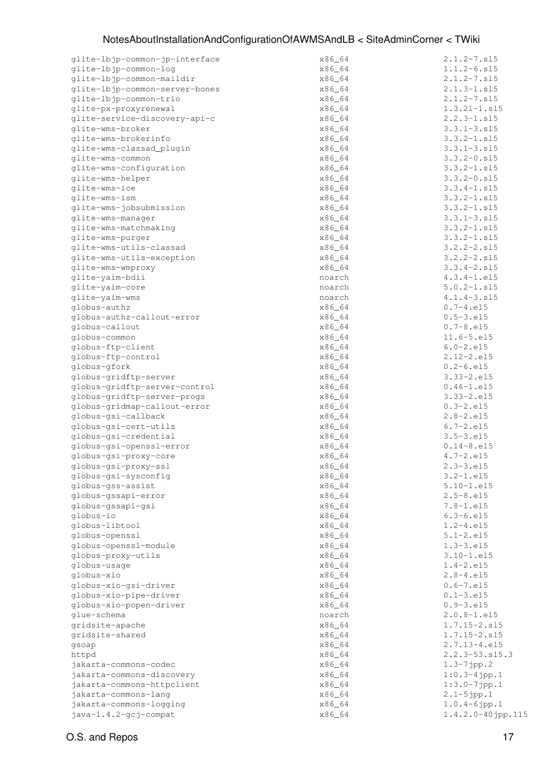| glite-lbjp-common-jp-interface | x86_64 | $2.1.2 - 7. s15$      |
|--------------------------------|--------|-----------------------|
| glite-lbjp-common-log          | x86_64 | $1.1.2 - 6. s15$      |
| glite-lbjp-common-maildir      | x86_64 | $2.1.2 - 7. s15$      |
| glite-lbjp-common-server-bones | x86_64 | $2.1.3 - 1. s15$      |
| glite-lbjp-common-trio         | x86_64 | $2.1.2 - 7. s15$      |
| glite-px-proxyrenewal          | x86_64 | $1.3.21 - 1. s15$     |
|                                |        |                       |
| qlite-service-discovery-api-c  | x86_64 | $2.2.3 - 1. s15$      |
| glite-wms-broker               | x86_64 | $3.3.1 - 3. s15$      |
| glite-wms-brokerinfo           | x86_64 | $3.3.2 - 1. s15$      |
| glite-wms-classad_plugin       | x86_64 | $3.3.1 - 3. s15$      |
| qlite-wms-common               | x86_64 | $3.3.2 - 0. s15$      |
| glite-wms-configuration        | x86_64 | $3.3.2 - 1. s15$      |
|                                |        | $3.3.2 - 0.515$       |
| glite-wms-helper               | x86_64 |                       |
| glite-wms-ice                  | x86_64 | $3.3.4 - 1. s15$      |
| glite-wms-ism                  | x86_64 | $3.3.2 - 1. s15$      |
| glite-wms-jobsubmission        | x86_64 | $3.3.2 - 1. s15$      |
| glite-wms-manager              | x86_64 | $3.3.1 - 3. s15$      |
| glite-wms-matchmaking          | x86_64 | $3.3.2 - 1. s15$      |
|                                |        |                       |
| glite-wms-purger               | x86_64 | $3.3.2 - 1. s15$      |
| glite-wms-utils-classad        | x86_64 | $3.2.2 - 2.515$       |
| glite-wms-utils-exception      | x86_64 | $3.2.2 - 2.515$       |
| glite-wms-wmproxy              | x86_64 | $3.3.4 - 2.515$       |
| glite-yaim-bdii                | noarch | $4.3.4 - 1.15$        |
|                                |        |                       |
| glite-yaim-core                | noarch | $5.0.2 - 1. s15$      |
| glite-yaim-wms                 | noarch | $4.1.4 - 3. s15$      |
| globus-authz                   | x86_64 | $0.7 - 4. e15$        |
| globus-authz-callout-error     | x86_64 | $0.5 - 3. e15$        |
| globus-callout                 | x86_64 | $0.7 - 8. e15$        |
| globus-common                  | x86_64 | $11.6 - 5. e15$       |
|                                |        |                       |
| globus-ftp-client              | x86_64 | $6.0 - 2. e15$        |
| globus-ftp-control             | x86_64 | $2.12 - 2.15$         |
| globus-gfork                   | x86_64 | $0.2 - 6. e15$        |
| globus-gridftp-server          | x86_64 | $3.33 - 2.15$         |
| globus-gridftp-server-control  | x86_64 | $0.46 - 1.15$         |
|                                |        |                       |
| globus-gridftp-server-progs    | x86_64 | $3.33 - 2.15$         |
| globus-gridmap-callout-error   | x86_64 | $0.3 - 2. e15$        |
| globus-gsi-callback            | x86_64 | $2.8 - 2. e15$        |
| globus-gsi-cert-utils          | x86_64 | $6.7 - 2.15$          |
| globus-gsi-credential          | x86_64 | $3.5 - 3. e15$        |
|                                |        |                       |
| globus-gsi-openssl-error       | x86_64 | $0.14 - 8. e15$       |
| globus-gsi-proxy-core          | x86_64 | $4.7 - 2.15$          |
| globus-gsi-proxy-ssl           | x86_64 | $2.3 - 3. e15$        |
| qlobus-qsi-sysconfiq           | x86_64 | $3.2 - 1. e15$        |
| globus-gss-assist              | x86_64 | $5.10 - 1.el5$        |
|                                |        |                       |
| globus-gssapi-error            | x86_64 | $2.5 - 8. e15$        |
| globus-gssapi-gsi              | x86_64 | $7.8 - 1. e15$        |
| globus-io                      | x86_64 | $6.3 - 6. e15$        |
| globus-libtool                 | x86_64 | $1.2 - 4.15$          |
| globus-openssl                 | x86_64 | $5.1 - 2.1 - 5$       |
|                                |        |                       |
| globus-openssl-module          | x86_64 | $1.3 - 3. e15$        |
| globus-proxy-utils             | x86_64 | $3.10 - 1.15$         |
| globus-usage                   | x86_64 | $1.4 - 2.15$          |
| globus-xio                     | x86_64 | $2.8 - 4. e15$        |
| globus-xio-gsi-driver          | x86_64 | $0.6 - 7. e15$        |
| globus-xio-pipe-driver         | x86_64 | $0.1 - 3.1 - 5.$      |
|                                |        |                       |
| globus-xio-popen-driver        | x86_64 | $0.9 - 3. e15$        |
| glue-schema                    | noarch | $2.0.8 - 1.015$       |
| gridsite-apache                | x86_64 | $1.7.15 - 2. s15$     |
| gridsite-shared                | x86_64 | $1.7.15 - 2. s15$     |
| gsoap                          | x86_64 | $2.7.13 - 4.15$       |
|                                |        |                       |
| httpd                          | x86_64 | $2.2.3 - 53. s15.3$   |
| jakarta-commons-codec          | x86_64 | $1.3 - 7jpp.2$        |
| jakarta-commons-discovery      | x86_64 | $1:0.3-4$ jpp.1       |
| jakarta-commons-httpclient     | x86_64 | $1:3.0-7jpp.1$        |
| jakarta-commons-lang           | x86_64 | $2.1 - 5jpp.1$        |
|                                |        |                       |
| jakarta-commons-logging        | x86_64 | $1.0.4 - 6jpp.1$      |
| java-1.4.2-gcj-compat          | x86_64 | $1.4.2.0 - 40jpp.115$ |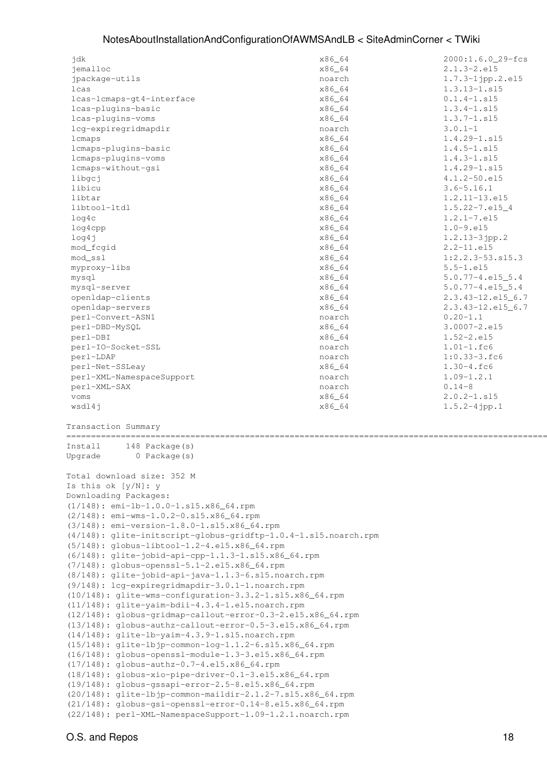| jdk                                                             | x86_64 | 2000:1.6.0_29-fcs      |  |
|-----------------------------------------------------------------|--------|------------------------|--|
| jemalloc                                                        | x86_64 | $2.1.3 - 2.el5$        |  |
| jpackage-utils                                                  | noarch | $1.7.3 - 1jpp.2.el5$   |  |
| lcas                                                            | x86_64 | $1.3.13 - 1. s15$      |  |
| lcas-lcmaps-gt4-interface                                       | x86_64 | $0.1.4 - 1. s15$       |  |
|                                                                 |        |                        |  |
| lcas-plugins-basic                                              | x86_64 | $1.3.4 - 1. s15$       |  |
| lcas-plugins-voms                                               | x86_64 | $1.3.7 - 1. s15$       |  |
| lcg-expiregridmapdir                                            | noarch | $3.0.1 - 1$            |  |
| lcmaps                                                          | x86_64 | $1.4.29 - 1. s15$      |  |
| lcmaps-plugins-basic                                            | x86_64 | $1.4.5 - 1. s15$       |  |
| lcmaps-plugins-voms                                             | x86_64 | $1.4.3 - 1. s15$       |  |
|                                                                 |        |                        |  |
| lcmaps-without-gsi                                              | x86_64 | $1.4.29 - 1. s15$      |  |
| libgcj                                                          | x86_64 | $4.1.2 - 50.$ el5      |  |
| libicu                                                          | x86_64 | $3.6 - 5.16.1$         |  |
| libtar                                                          | x86_64 | $1.2.11 - 13. e15$     |  |
| libtool-ltdl                                                    | x86_64 | $1.5.22 - 7.15 - 4$    |  |
| log4c                                                           | x86_64 | $1.2.1 - 7.15$         |  |
|                                                                 |        |                        |  |
| log4cpp                                                         | x86_64 | $1.0 - 9.015$          |  |
| log4j                                                           | x86_64 | $1.2.13 - 3jpp.2$      |  |
| mod_fcgid                                                       | x86_64 | $2.2 - 11. e15$        |  |
| $mod\_ss1$                                                      | x86_64 | $1:2.2.3-53. s15.3$    |  |
| myproxy-libs                                                    | x86_64 | $5.5 - 1. e15$         |  |
|                                                                 |        |                        |  |
| mysql                                                           | x86_64 | $5.0.77 - 4.015 - 5.4$ |  |
| mysql-server                                                    | x86_64 | $5.0.77 - 4.015 - 5.4$ |  |
| openldap-clients                                                | x86_64 | 2.3.43-12.el5_6.7      |  |
| openldap-servers                                                | x86_64 | 2.3.43-12.el5_6.7      |  |
| perl-Convert-ASN1                                               | noarch | $0.20 - 1.1$           |  |
| perl-DBD-MySQL                                                  | x86_64 | 3.0007-2.el5           |  |
|                                                                 |        |                        |  |
| perl-DBI                                                        | x86_64 | $1.52 - 2. e15$        |  |
| perl-IO-Socket-SSL                                              | noarch | $1.01 - 1.fc6$         |  |
| perl-LDAP                                                       | noarch | $1:0.33-3.fc6$         |  |
| perl-Net-SSLeay                                                 | x86_64 | $1.30 - 4.5c6$         |  |
| perl-XML-NamespaceSupport                                       | noarch | $1.09 - 1.2.1$         |  |
| perl-XML-SAX                                                    | noarch | $0.14 - 8$             |  |
|                                                                 |        |                        |  |
| voms                                                            | x86_64 | $2.0.2 - 1. s15$       |  |
| wsdl4j                                                          | x86_64 | $1.5.2 - 4jpp.1$       |  |
|                                                                 |        |                        |  |
| Transaction Summary                                             |        |                        |  |
|                                                                 |        |                        |  |
| Install<br>148 Package(s)                                       |        |                        |  |
| Upgrade<br>$0$ Package $(s)$                                    |        |                        |  |
|                                                                 |        |                        |  |
| Total download size: 352 M                                      |        |                        |  |
|                                                                 |        |                        |  |
| Is this ok $[y/N]: y$                                           |        |                        |  |
| Downloading Packages:                                           |        |                        |  |
| $(1/148)$ : emi-lb-1.0.0-1.sl5.x86_64.rpm                       |        |                        |  |
| $(2/148)$ : emi-wms-1.0.2-0.sl5.x86_64.rpm                      |        |                        |  |
| (3/148): emi-version-1.8.0-1.sl5.x86_64.rpm                     |        |                        |  |
| (4/148): glite-initscript-globus-gridftp-1.0.4-1.sl5.noarch.rpm |        |                        |  |
|                                                                 |        |                        |  |
| (5/148): globus-libtool-1.2-4.el5.x86_64.rpm                    |        |                        |  |
| (6/148): glite-jobid-api-cpp-1.1.3-1.sl5.x86_64.rpm             |        |                        |  |
| $(7/148)$ : globus-openssl-5.1-2.el5.x86_64.rpm                 |        |                        |  |
| (8/148): glite-jobid-api-java-1.1.3-6.sl5.noarch.rpm            |        |                        |  |
| (9/148): lcg-expiregridmapdir-3.0.1-1.noarch.rpm                |        |                        |  |
| $(10/148)$ : glite-wms-configuration-3.3.2-1.sl5.x86_64.rpm     |        |                        |  |
| $(11/148)$ : $q$ lite-yaim-bdii-4.3.4-1.el5.noarch.rpm          |        |                        |  |
|                                                                 |        |                        |  |
| (12/148): globus-gridmap-callout-error-0.3-2.el5.x86_64.rpm     |        |                        |  |
| (13/148): globus-authz-callout-error-0.5-3.el5.x86_64.rpm       |        |                        |  |
| $(14/148)$ : $q$ lite-lb-yaim-4.3.9-1.sl5.noarch.rpm            |        |                        |  |
| (15/148): glite-lbjp-common-log-1.1.2-6.sl5.x86_64.rpm          |        |                        |  |
| $(16/148)$ : globus-openssl-module-1.3-3.el5.x86_64.rpm         |        |                        |  |
|                                                                 |        |                        |  |
| (17/148): globus-authz-0.7-4.el5.x86_64.rpm                     |        |                        |  |
| $(18/148)$ : globus-xio-pipe-driver-0.1-3.el5.x86_64.rpm        |        |                        |  |
| (19/148): globus-gssapi-error-2.5-8.el5.x86_64.rpm              |        |                        |  |
| (20/148): glite-lbjp-common-maildir-2.1.2-7.sl5.x86_64.rpm      |        |                        |  |
| $(21/148)$ : globus-gsi-openssl-error-0.14-8.el5.x86_64.rpm     |        |                        |  |
| (22/148): perl-XML-NamespaceSupport-1.09-1.2.1.noarch.rpm       |        |                        |  |
|                                                                 |        |                        |  |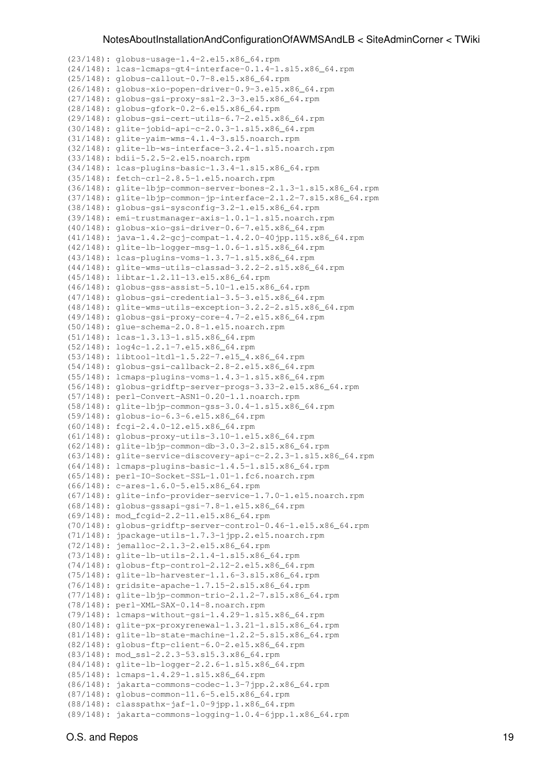$(23/148)$ : globus-usage-1.4-2.el5.x86 64.rpm  $(24/148):$  lcas-lcmaps-gt4-interface-0.1.4-1.sl5.x86 64.rpm  $(25/148):$  globus-callout-0.7-8.el5.x86\_64.rpm  $(26/148):$  globus-xio-popen-driver-0.9-3.el5.x86\_64.rpm (27/148): globus-gsi-proxy-ssl-2.3-3.el5.x86\_64.rpm (28/148): globus-gfork-0.2-6.el5.x86 64.rpm  $(29/148):$  globus-gsi-cert-utils-6.7-2.el5.x86 64.rpm (30/148): glite-jobid-api-c-2.0.3-1.sl5.x86\_64.rpm  $(31/148)$ : glite-yaim-wms-4.1.4-3.sl5.noarch.rpm (32/148): glite-lb-ws-interface-3.2.4-1.sl5.noarch.rpm (33/148): bdii-5.2.5-2.el5.noarch.rpm  $(34/148):$  lcas-plugins-basic-1.3.4-1.sl5.x86 64.rpm  $(35/148)$ : fetch-crl-2.8.5-1.el5.noarch.rpm  $(36/148):$  glite-lbjp-common-server-bones-2.1.3-1.sl5.x86\_64.rpm  $(37/148)$ : glite-lbjp-common-jp-interface-2.1.2-7.sl5.x86\_64.rpm  $(38/148):$  globus-gsi-sysconfig-3.2-1.el5.x86\_64.rpm  $(39/148):$  emi-trustmanager-axis-1.0.1-1.sl5.noarch.rpm  $(40/148):$  globus-xio-gsi-driver-0.6-7.el5.x86\_64.rpm  $(41/148):$  java-1.4.2-gcj-compat-1.4.2.0-40jpp.115.x86\_64.rpm  $(42/148)$ : glite-lb-logger-msg-1.0.6-1.sl5.x86 64.rpm  $(43/148):$  lcas-plugins-voms-1.3.7-1.sl5.x86\_64.rpm  $(44/148):$  glite-wms-utils-classad-3.2.2-2.sl5.x86 64.rpm (45/148): libtar-1.2.11-13.el5.x86\_64.rpm  $(46/148):$  globus-gss-assist-5.10-1.el5.x86\_64.rpm  $(47/148):$  globus-gsi-credential-3.5-3.el5.x86\_64.rpm  $(48/148):$  glite-wms-utils-exception-3.2.2-2.sl5.x86\_64.rpm  $(49/148):$  globus-gsi-proxy-core-4.7-2.el5.x86\_64.rpm  $(50/148)$ : glue-schema-2.0.8-1.el5.noarch.rpm (51/148): lcas-1.3.13-1.sl5.x86\_64.rpm (52/148): log4c-1.2.1-7.el5.x86\_64.rpm  $(53/148):$  libtool-ltdl-1.5.22-7.el5\_4.x86\_64.rpm (54/148): globus-gsi-callback-2.8-2.el5.x86\_64.rpm  $(55/148):$  lcmaps-plugins-voms-1.4.3-1.sl5.x86\_64.rpm (56/148): globus-gridftp-server-progs-3.33-2.el5.x86\_64.rpm (57/148): perl-Convert-ASN1-0.20-1.1.noarch.rpm  $(58/148):$  glite-lbjp-common-gss-3.0.4-1.sl5.x86\_64.rpm (59/148): globus-io-6.3-6.el5.x86\_64.rpm  $(60/148): f$ cgi-2.4.0-12.el5.x86\_64.rpm (61/148): globus-proxy-utils-3.10-1.el5.x86\_64.rpm  $(62/148):$  glite-lbjp-common-db-3.0.3-2.sl5.x86\_64.rpm  $(63/148):$  glite-service-discovery-api-c-2.2.3-1.sl5.x86\_64.rpm  $(64/148):$  lcmaps-plugins-basic-1.4.5-1.sl5.x86\_64.rpm (65/148): perl-IO-Socket-SSL-1.01-1.fc6.noarch.rpm  $(66/148): c=ares-1.6.0-5.el5.x86_64.rpm$ (67/148): glite-info-provider-service-1.7.0-1.el5.noarch.rpm  $(68/148):$  globus-gssapi-gsi-7.8-1.el5.x86\_64.rpm  $(69/148)$ : mod\_fcgid-2.2-11.el5.x86\_64.rpm  $(70/148):$  globus-gridftp-server-control-0.46-1.el5.x86\_64.rpm  $(71/148)$ : jpackage-utils-1.7.3-1jpp.2.el5.noarch.rpm (72/148): jemalloc-2.1.3-2.el5.x86\_64.rpm (73/148): glite-lb-utils-2.1.4-1.sl5.x86\_64.rpm  $(74/148):$  globus-ftp-control-2.12-2.el5.x86 64.rpm  $(75/148):$  glite-lb-harvester-1.1.6-3.sl5.x86\_64.rpm (76/148): gridsite-apache-1.7.15-2.sl5.x86\_64.rpm  $(77/148)$ : glite-lbjp-common-trio-2.1.2-7.sl5.x86\_64.rpm (78/148): perl-XML-SAX-0.14-8.noarch.rpm (79/148): lcmaps-without-gsi-1.4.29-1.sl5.x86\_64.rpm  $(80/148):$  glite-px-proxyrenewal-1.3.21-1.sl5.x86\_64.rpm  $(81/148):$  glite-lb-state-machine-1.2.2-5.sl5.x86\_64.rpm  $(82/148):$  globus-ftp-client-6.0-2.el5.x86\_64.rpm (83/148): mod\_ssl-2.2.3-53.sl5.3.x86\_64.rpm  $(84/148):$  glite-lb-logger-2.2.6-1.sl5.x86\_64.rpm (85/148): lcmaps-1.4.29-1.sl5.x86\_64.rpm  $(86/148):$  jakarta-commons-codec-1.3-7jpp.2.x86\_64.rpm  $(87/148)$ : globus-common-11.6-5.el5.x86\_64.rpm  $(88/148):$  classpathx-jaf-1.0-9jpp.1.x86\_64.rpm  $(89/148):$  jakarta-commons-logging-1.0.4-6jpp.1.x86\_64.rpm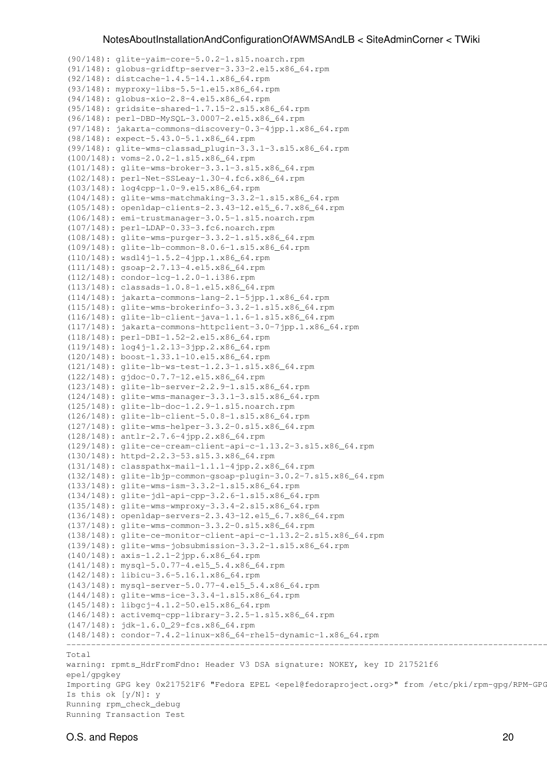$(90/148):$  glite-yaim-core-5.0.2-1.sl5.noarch.rpm  $(91/148):$  globus-gridftp-server-3.33-2.el5.x86\_64.rpm (92/148): distcache-1.4.5-14.1.x86\_64.rpm (93/148): myproxy-libs-5.5-1.el5.x86\_64.rpm  $(94/148):$  globus-xio-2.8-4.el5.x86\_64.rpm (95/148): gridsite-shared-1.7.15-2.sl5.x86 64.rpm (96/148): perl-DBD-MySQL-3.0007-2.el5.x86 64.rpm  $(97/148)$ : jakarta-commons-discovery-0.3-4jpp.1.x86\_64.rpm  $(98/148):$  expect-5.43.0-5.1.x86 64.rpm (99/148): glite-wms-classad\_plugin-3.3.1-3.sl5.x86\_64.rpm  $(100/148):$  voms-2.0.2-1.sl5.x86\_64.rpm  $(101/148):$  glite-wms-broker-3.3.1-3.sl5.x86 64.rpm  $(102/148):$  perl-Net-SSLeay-1.30-4.fc6.x86\_64.rpm  $(103/148):$  log4cpp-1.0-9.el5.x86\_64.rpm  $(104/148):$  glite-wms-matchmaking-3.3.2-1.sl5.x86 64.rpm  $(105/148):$  openldap-clients-2.3.43-12.el5\_6.7.x86\_64.rpm  $(106/148):$  emi-trustmanager-3.0.5-1.sl5.noarch.rpm  $(107/148):$  perl-LDAP-0.33-3.fc6.noarch.rpm  $(108/148):$  glite-wms-purger-3.3.2-1.sl5.x86\_64.rpm  $(109/148):$  glite-lb-common-8.0.6-1.sl5.x86 64.rpm  $(110/148):$  wsdl4j-1.5.2-4jpp.1.x86\_64.rpm  $(111/148):$  gsoap-2.7.13-4.el5.x86 64.rpm  $(112/148):$  condor-lcg-1.2.0-1.i386.rpm  $(113/148):$  classads-1.0.8-1.el5.x86\_64.rpm  $(114/148):$  jakarta-commons-lang-2.1-5jpp.1.x86\_64.rpm  $(115/148):$  glite-wms-brokerinfo-3.3.2-1.sl5.x86\_64.rpm  $(116/148):$  glite-lb-client-java-1.1.6-1.sl5.x86\_64.rpm  $(117/148):$  jakarta-commons-httpclient-3.0-7jpp.1.x86\_64.rpm (118/148): perl-DBI-1.52-2.el5.x86\_64.rpm (119/148): log4j-1.2.13-3jpp.2.x86\_64.rpm (120/148): boost-1.33.1-10.el5.x86\_64.rpm  $(121/148):$  glite-lb-ws-test-1.2.3-1.sl5.x86\_64.rpm  $(122/148):$  gjdoc-0.7.7-12.el5.x86\_64.rpm (123/148): glite-lb-server-2.2.9-1.sl5.x86\_64.rpm  $(124/148):$  glite-wms-manager-3.3.1-3.sl5.x86\_64.rpm (125/148): glite-lb-doc-1.2.9-1.sl5.noarch.rpm  $(126/148):$  glite-lb-client-5.0.8-1.sl5.x86\_64.rpm  $(127/148):$  glite-wms-helper-3.3.2-0.sl5.x86\_64.rpm  $(128/148): antlr-2.7.6-4jpp.2.x86_64.rpm$  $(129/148):$  glite-ce-cream-client-api-c-1.13.2-3.sl5.x86\_64.rpm (130/148): httpd-2.2.3-53.sl5.3.x86\_64.rpm  $(131/148):$  classpathx-mail-1.1.1-4jpp.2.x86\_64.rpm  $(132/148):$  glite-lbjp-common-gsoap-plugin-3.0.2-7.sl5.x86\_64.rpm  $(133/148):$  glite-wms-ism-3.3.2-1.sl5.x86\_64.rpm  $(134/148):$  glite-jdl-api-cpp-3.2.6-1.sl5.x86\_64.rpm  $(135/148):$  glite-wms-wmproxy-3.3.4-2.sl5.x86\_64.rpm (136/148): openldap-servers-2.3.43-12.el5\_6.7.x86\_64.rpm  $(137/148):$  glite-wms-common-3.3.2-0.sl5.x86\_64.rpm  $(138/148)$ : glite-ce-monitor-client-api-c-1.13.2-2.sl5.x86\_64.rpm  $(139/148):$  glite-wms-jobsubmission-3.3.2-1.sl5.x86\_64.rpm  $(140/148): axis-1.2.1-2jpp.6.x86_64rpm$  $(141/148):$  mysql-5.0.77-4.el5\_5.4.x86\_64.rpm  $(142/148):$  libicu-3.6-5.16.1.x86\_64.rpm (143/148): mysql-server-5.0.77-4.el5\_5.4.x86\_64.rpm  $(144/148):$  glite-wms-ice-3.3.4-1.sl5.x86\_64.rpm (145/148): libgcj-4.1.2-50.el5.x86\_64.rpm  $(146/148):$  activemq-cpp-library-3.2.5-1.sl5.x86\_64.rpm  $(147/148):$  jdk-1.6.0\_29-fcs.x86\_64.rpm  $(148/148):$  condor-7.4.2-linux-x86\_64-rhel5-dynamic-1.x86\_64.rpm ------------------------------------------------------------------------------------------------------------------------------------------------------------- Total 1.6 MB/s | 352 MB/s | 352 MB/s | 352 MB/s | 352 MB/s | 352 MB/s | 352 MB/s | 352 MB/s | 352 MB/s | 352 MB/s | 352 MB/s | 352 MB/s | 352 MB/s | 352 MB/s | 352 MB/s | 352 MB/s | 352 MB/s | 352 MB/s | 352 MB/s | 352 MB/ warning: rpmts\_HdrFromFdno: Header V3 DSA signature: NOKEY, key ID 217521f6 epel/gpgkey | 1.7 kB 00:00 Importing GPG key 0x217521F6 "Fedora EPEL <epel@fedoraproject.org>" from /etc/pki/rpm-gpg/RPM-GPG

Is this ok [y/N]: y Running rpm\_check\_debug Running Transaction Test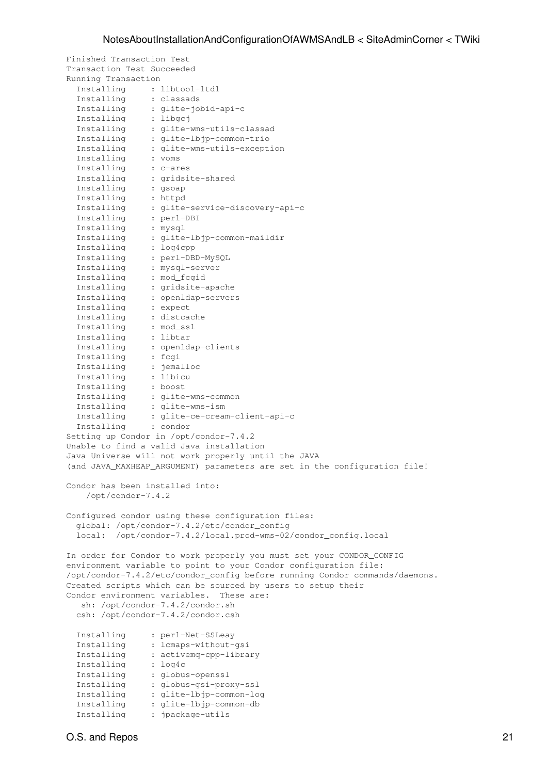```
Finished Transaction Test
Transaction Test Succeeded
Running Transaction
 Installing : libtool-ltdl<br>Installing : classads
Installing : classads 2004 and 2004 and 2004 and 2014 and 2014 and 2014 and 2014 and 2014 and 2014 and 2014 and 2014 and 2014 and 2014 and 2014 and 2014 and 2014 and 2014 and 2014 and 2014 and 2014 and 2014 and 2014 and 20
 Installing : glite-jobid-api-c
Installing : libgcj
Installing : glite-wms-utils-classad 5/1488 and 5/1488 and 5/1488 and 5/1488 and 5/1488 and 5/1488 and 5/1488 a
Installing : glite-lbjp-common-trio 6/1488 and 1488 and 1488 and 1488 and 1488 and 1488 and 1488 and 1488 and 1
Installing : glite-wms-utils-exception
Installing : voms
Installing : c-ares 9/1488 and 2014 and 2014 and 2014 and 2014 and 2014 and 2014 and 2014 and 2014 and 2014 and 2014 and 2014 and 2014 and 2014 and 2014 and 2014 and 2014 and 2014 and 2014 and 2014 and 2014 and 2014 and 20
 Installing : gridsite-shared<br>Installing : gsoap
Installing : gsoap 11/1481 - 11/1481 - 11/1481 - 11/1481 - 11/1481 - 11/1481 - 11/1481 - 11/1481 - 11/1481 - 1
 Installing : httpd<br>
Installing : glite
              : glite-service-discovery-api-c
 Installing : perl-DBI
 Installing : mysql
 Installing : glite-lbjp-common-maildir
Installing : log4cpp 17/1488 17/248 17/248 17/248 17/248 17/248 17/248 17/248 17/248 17/248 17/248 17/248 17/1
Installing : perl-DBD-MySQL 18/1481 1991 1992
Installing : mysql-server 19/1488 and 19/20 and 19/20 and 19/20 and 19/20 and 19/1488 and 19/1488 and 19/1488 and 19/1488 and 19/1488 and 19/1488 and 19/1488 and 19/1488 and 19/1488 and 19/1488 and 19/1488 and 19/1488 and 
 Installing : mod_fcgid 20/148 
 Installing : mod_fcgid<br>Installing : gridsite-apache
 Installing : openldap-servers
 Installing : expect
 Installing : distcache
 Installing : mod_ssl
 Installing : libtar
 Installing : openldap-clients
 Installing : fcgi
 Installing : jemalloc
 Installing : libicu
Installing : boost 31/1488 and 21/1488 and 21/1488 and 21/1488 and 21/1488 and 21/1488 and 21/1488 and 21/1488
Installing : glite-wms-common 32/1489 and 32/1489 and 32/1489 and 32/1489 and 32/1489 and 32/1489 and 32/1489 and 32/1489 and 32/1489 and 32/1489 and 32/1489 and 32/1489 and 32/1489 and 32/1489 and 32/1489 and 32/1489 and 
Installing : glite-wms-ism 33/1489 and 33/1489 and 33/1489 and 33/1489 and 33/1489 and 33/1489 and 33/1489 and 33/1489 and 34/1489 and 34/1489 and 34/1489 and 34/1489 and 34/1489 and 34/1489 and 34/1489 and 34/1489 and 34/
Installing : glite-ce-cream-client-api-c 34/148/1481 34/1481 34/1481 34/1481 34/1481 34/1481 34/1481 34/1481 34/148
 ---» : glite<br>- Installing : glite<br>- Installing : condor
Setting up Condor in /opt/condor-7.4.2
Unable to find a valid Java installation 
Java Universe will not work properly until the JAVA 
(and JAVA_MAXHEAP_ARGUMENT) parameters are set in the configuration file!
Condor has been installed into:
    /opt/condor-7.4.2
Configured condor using these configuration files:
  global: /opt/condor-7.4.2/etc/condor_config
  local: /opt/condor-7.4.2/local.prod-wms-02/condor_config.local
In order for Condor to work properly you must set your CONDOR_CONFIG
environment variable to point to your Condor configuration file:
/opt/condor-7.4.2/etc/condor_config before running Condor commands/daemons.
Created scripts which can be sourced by users to setup their
Condor environment variables. These are:
   sh: /opt/condor-7.4.2/condor.sh
  csh: /opt/condor-7.4.2/condor.csh
 Installing : perl-Net-SSLeay<br>Installing : lcmaps-without-
 Installing : lcmaps-without-gsi<br>
Installing : activemq-cpp-libra<br>
Installing : log4c<br>
Installing : globus-openssl
 Installing : activemq-cpp-library 38/148 
Installing : log4c 39/1489 and 2014 and 2014 and 2014 and 2014 and 2014 and 2014 and 2014 and 2014 and 2014 and 2014 and 2014 and 2014 and 2014 and 2014 and 2014 and 2014 and 2014 and 2014 and 2014 and 2014 and 2014 and 20
Installing : globus-openssl 400 MHz and the state of the state of the state of the state of the state of the state of the state of the state of the state of the state of the state of the state of the state of the state of 
 Installing : globus-gsi-proxy-ssl
 Installing : glite-lbjp-common-log
 Installing : glite-lbjp-common-db
 Installing : jpackage-utils
```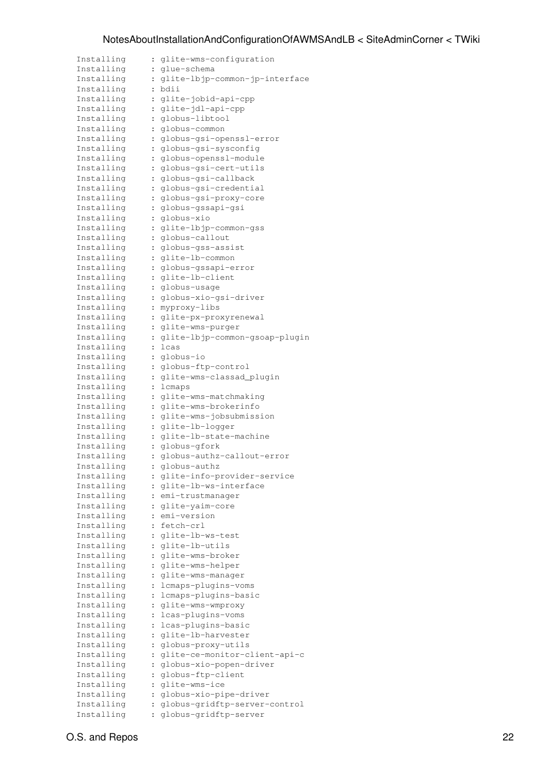| Installing | : glite-wms-configuration        |  |
|------------|----------------------------------|--|
| Installing | : glue-schema                    |  |
| Installing | : glite-lbjp-common-jp-interface |  |
| Installing | : bdii                           |  |
| Installing | : glite-jobid-api-cpp            |  |
| Installing | : glite-jdl-api-cpp              |  |
|            | : globus-libtool                 |  |
| Installing |                                  |  |
| Installing | : globus-common                  |  |
| Installing | : globus-gsi-openssl-error       |  |
| Installing | : globus-gsi-sysconfig           |  |
| Installing | : globus-openssl-module          |  |
| Installing | : globus-gsi-cert-utils          |  |
| Installing | : globus-gsi-callback            |  |
| Installing | : globus-gsi-credential          |  |
| Installing | : globus-gsi-proxy-core          |  |
| Installing | : globus-gssapi-gsi              |  |
| Installing | : globus-xio                     |  |
| Installing | : glite-lbjp-common-gss          |  |
|            |                                  |  |
| Installing | : globus-callout                 |  |
| Installing | : globus-gss-assist              |  |
| Installing | : glite-lb-common                |  |
| Installing | : globus-gssapi-error            |  |
| Installing | : glite-lb-client                |  |
| Installing | : globus-usage                   |  |
| Installing | : globus-xio-gsi-driver          |  |
| Installing | : myproxy-libs                   |  |
| Installing | : glite-px-proxyrenewal          |  |
| Installing | : glite-wms-purger               |  |
| Installing | : glite-lbjp-common-gsoap-plugin |  |
| Installing | : lcas                           |  |
|            |                                  |  |
| Installing | : globus-io                      |  |
| Installing | : globus-ftp-control             |  |
| Installing | : glite-wms-classad_plugin       |  |
| Installing | : lcmaps                         |  |
| Installing | : glite-wms-matchmaking          |  |
| Installing | : glite-wms-brokerinfo           |  |
| Installing | : glite-wms-jobsubmission        |  |
| Installing | : glite-lb-logger                |  |
| Installing | : glite-lb-state-machine         |  |
| Installing | : globus-gfork                   |  |
| Installing | : globus-authz-callout-error     |  |
| Installing | : globus-authz                   |  |
| Installing | : glite-info-provider-service    |  |
|            |                                  |  |
| Installing | : glite-lb-ws-interface          |  |
| Installing | : emi-trustmanager               |  |
| Installing | : glite-yaim-core                |  |
| Installing | : emi-version                    |  |
| Installing | : fetch-crl                      |  |
| Installing | : glite-lb-ws-test               |  |
| Installing | : glite-lb-utils                 |  |
| Installing | : glite-wms-broker               |  |
| Installing | : glite-wms-helper               |  |
| Installing | : glite-wms-manager              |  |
| Installing | : lcmaps-plugins-voms            |  |
|            |                                  |  |
| Installing | : lcmaps-plugins-basic           |  |
| Installing | : glite-wms-wmproxy              |  |
| Installing | : lcas-plugins-voms              |  |
| Installing | : lcas-plugins-basic             |  |
| Installing | : glite-lb-harvester             |  |
| Installing | : globus-proxy-utils             |  |
| Installing | : glite-ce-monitor-client-api-c  |  |
| Installing | : globus-xio-popen-driver        |  |
| Installing | : globus-ftp-client              |  |
| Installing | : glite-wms-ice                  |  |
| Installing | : globus-xio-pipe-driver         |  |
|            | : globus-gridftp-server-control  |  |
| Installing |                                  |  |
| Installing | : globus-gridftp-server          |  |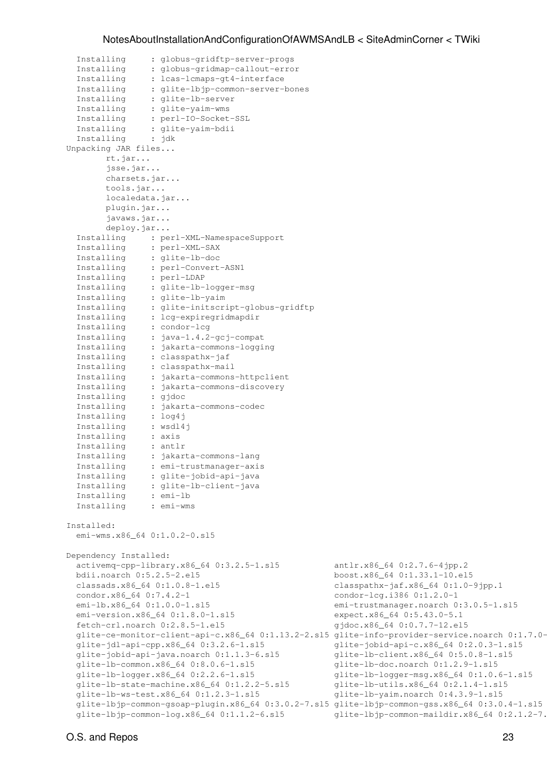```
Installing : globus-gridftp-server-progs
 Installing : globus-gridmap-callout-error
 Installing : lcas-lcmaps-gt4-interface
 Installing : glite-lbjp-common-server-bones
 Installing : glite-lb-server
 Installing : glite-yaim-wms<br>Installing : perl-IO-Socket
           : perl-IO-Socket-SSL
Installing : glite-yaim-bdii 1197 - 1197 - 1197 - 1198 - 1198 - 1198 - 1198 - 1198 - 1198 - 1198 - 1198 - 119
Installing : jdk 120/1481 120/1481 120/1481 120/1481 120/1481 120/1481 120/1481 120/1481 120
Unpacking JAR files...
      rt.jar...
      jsse.jar...
      charsets.jar...
      tools.jar...
     localedata.jar...
      plugin.jar...
      javaws.jar...
     deploy.jar...
 Installing : perl-XML-NamespaceSupport
Installing : perl-XML-SAX 122/1481 122/1481 122/1482 122/1482 122/1482 122/1482 122/1482 122/1482 122/1482 122
Installing : glite-lb-doc 123/1489 and 123/1489 and 123/1489 and 123/1489 and 123/1489 and 123/1489 and 123/14
 Installing : glite-lb-doc<br>
Installing : perl-Convert-ASN1<br>
Installing : perl-LDAP<br>
Installing : care in the last of the state of the state of the state of the state of the state of the state of the state of the state of th
Installing : perl-LDAP 125/1489 125/1489 125/1489 125/1489 125/1489 125/1489 125/1489 125/1489 125/1489 125/14
 Installing : glite-lb-logger-msg<br>Installing : glite-lb-vaim
           : glite-lb-yaim
 Installing : glite-initscript-globus-gridftp
 Installing : lcg-expiregridmapdir
 Installing : condor-lcg
 Installing : java-1.4.2-gcj-compat
 Installing : jakarta-commons-logging
 Installing : classpathx-jaf
 Installing : classpathx-mail 134/148 
 Installing : jakarta-commons-httpclient 135/148 
 Installing : jakarta-commons-discovery 136/148 
Installing : gjdoc 137/1488 i 137/1488 i 137/1488 i 137/1488 i 137/1488 i 137/1488 i 137/1488 i 137/1488 i 137
 Installing : jakarta-commons-codec 138/148 
Installing : log4jInstalling : wsdl4j
Installing : axis 1414 and 2014 and 2014 and 2014 and 2014 and 2014 and 2014 and 2014 and 2014 and 2014 and 20
 Installing : antlr 142/148 
 Installing : jakarta-commons-lang
 Installing : emi-trustmanager-axis
 Installing : glite-jobid-api-java
 Installing : glite-lb-client-java
 Installing : emi-lb
Installing : emi-wms
Installed:
  emi-wms.x86_64 0:1.0.2-0.sl5 
Dependency Installed:
 activemq-cpp-library.x86_64 0:3.2.5-1.sl5 antlr.x86_64 0:2.7.6-4jpp.2
 bdii.noarch 0:5.2.5-2.el5 boost.x86_64 0:1.33.1-10.el5
 classads.x86_64 0:1.0.8-1.el5 classpathx-jaf.x86_64 0:1.0-9jpp.1
 condor.x86_64 0:7.4.2-1 condor-lcg.i386 0:1.2.0-1
 emi-lb.x86_64 0:1.0.0-1.sl5 emi-trustmanager.noarch 0:3.0.5-1.sl5
 emi-version.x86_64 0:1.8.0-1.sl5 expect.x86_64 0:5.43.0-5.1
 fetch-crl.noarch 0:2.8.5-1.el5 gjdoc.x86_64 0:0.7.7-12.el5
 glite-ce-monitor-client-api-c.x86_64 0:1.13.2-2.sl5 glite-info-provider-service.noarch 0:1.7.0-
 glite-jdl-api-cpp.x86_64 0:3.2.6-1.sl5 glite-jobid-api-c.x86_64 0:2.0.3-1.sl5
 glite-jobid-api-java.noarch 0:1.1.3-6. s15 glite-lb-client.x86_64 0:5.0.8-1.sl5
 glite-lb-common.x86_64 0:8.0.6-1.sl5 <br>glite-lb-logger.x86_64 0:2.2.6-1.sl5 <br>glite-lb-logger-msg.x86_64 0:1.0.
                                      glite-lb-logger-msg.x86_64 0:1.0.6-1.sl5
 glite-lb-state-machine.x86_64 0:1.2.2-5. s15 glite-lb-utils.x86_64 0:2.1.4-1. s15glite-lb-ws-test.x86 64 0:1.2.3-1.sl5 glite-lb-yaim.noarch 0:4.3.9-1.sl5
 qlite-lbjp-common-gsoap-plugin.x86_64 0:3.0.2-7.sl5 glite-lbjp-common-gss.x86_64 0:3.0.4-1.sl5
 qlite-lbjp-common-log.x86_64 0:1.1.2-6.sl5 qlite-lbjp-common-maildir.x86_64 0:2.1.2-7.
```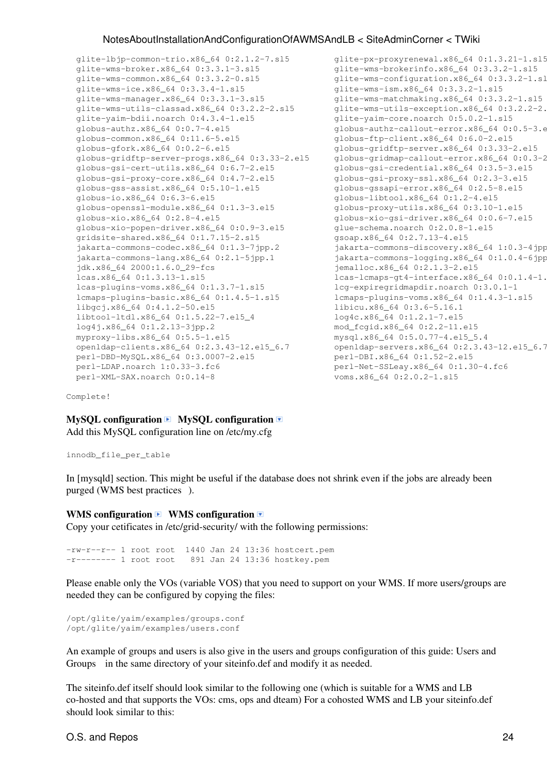```
glite-lbjp-common-trio.x86 64 0:2.1.2-7.sl5 glite-px-proxyrenewal.x86 64 0:1.3.21-1.sl5
glite-wms-broker.x86_64 0:3.3.1-3.sl5 glite-wms-brokerinfo.x86_64 0:3.3.2-1.sl5
glite-wms-common.x86_64 0:3.3.2-0.sl5 glite-wms-configuration.x86_64 0:3.3.2-1.sl
glite-wms-ice.x86_64 0:3.3.4-1.sl5 <br>glite-wms-ism.x86_64 0:3.3.2-1.sl5
glite-wms-manager.x86_64 0:3.3.1-3.sl5 glite-wms-matchmaking.x86_64 0:3.3.2-1.sl5
glite-wms-utils-classad.x86 64 0:3.2.2-2.sl5 glite-wms-utils-exception.x86 64 0:3.2.2-2.
glite-yaim-bdii.noarch 0:4.3.4-1.el5 glite-yaim-core.noarch 0:5.0.2-1.sl5
globus-authz.x86_64 0:0.7-4.el5 <br>globus-common.x86_64 0:11.6-5.el5 globus-ftp-client.x86_64 0:6.0-2.el5
globus-gfork.x86_64 0:0.2-6.el5 globus-gridftp-server.x86_64 0:3.33-2.el5<br>globus-gridftp-server-progs.x86_64 0:3.33-2.el5 globus-gridmap-callout-error.x86 64 0:0.3-2
globus-gridftp-server-progs.x86_64 0:3.33-2.el5
globus-gsi-cert-utils.x86 64 0:6.7-2.el5 globus-gsi-credential.x86 64 0:3.5-3.el5
 globus-gsi-proxy-core.x86_64 0:4.7-2.el5 globus-gsi-proxy-ssl.x86_64 0:2.3-3.el5 globus-gsi-sysconfig.x86_64 0:3.2-1.el5 
 globus-gss-assist.x86_64 0:5.10-1.el5 globus-gssapi-error.x86_64 0:2.5-8.el5 globus-gssapi-gsi.x86_64 0:7.8-1.el5 
qlobus-io.x86_64 0:6.3-6.el5 globus-libtool.x86_64 0:1.2-4.el5
qlobus-openssl-module.x86_64 0:1.3-3.el5 qlobus-proxy-utils.x86_64 0:3.10-1.el5
 globus-xio.x86_64 0:2.8-4.el5 globus-xio-gsi-driver.x86_64 0:0.6-7.el5 globus-xio-pipe-driver.x86_64 0:0.1-3.el5 
globus-xio-popen-driver.x86_64 0:0.9-3.el5 glue-schema.noarch 0:2.0.8-1.el5
 gridsite-shared.x86_64 0:1.7.15-2.sl5 gsoap.x86_64 0:2.7.13-4.el5 httpd.x86_64 0:2.2.3-53.sl5.3 
jakarta-commons-codec.x86 64 0:1.3-7jpp.2 jakarta-commons-discovery.x86 64 1:0.3-4jpp
jakarta-commons-lang.x86_64 0:2.1-5jpp.1 jakarta-commons-logqing.x86_64 0:1.0.4-6jppjdk.x86 64 2000:1.6.0 29-fcs jemalloc.x86 64 0:2.1.3-2.el5
lcas.x86_64 0:1.3.13-1.sl5 lcas-lcmaps-qt4-interface.x86_64 0:0.1.4-1.
lcas-plugins-voms.x86_64 0:1.3.7-1.sl5 lcg-expiregridmapdir.noarch 0:3.0.1-1
 lcmaps-plugins-basic.x86_64 0:1.4.5-1.sl5 lcmaps-plugins-voms.x86_64 0:1.4.3-1.sl5 lcmaps-without-gsi.x86_64 0:1.4.29-1.sl5 
libqcj.x86_64_0:4.1.2-50.15 libicu.x86_64 0:3.6-5.16.1
libtool-ltdl.x86_64 0:1.5.22-7.el5_4 log4c.x86_64 0:1.2.1-7.el5
log4j.x86_64 0:1.2.13-3jpp.2 mod_fcgid.x86_64 0:2.2-11.el5
myproxy-libs.x86_64 0:5.5-1.el5 mysql.x86_64 0:5.0.77-4.el5_5.4
openldap-clients.x86_64 0:2.3.43-12.el5_6.7 openldap-servers.x86_64 0:2.3.43-12.el5_6.7<br>perl-DBD-MySQL.x86_64 0:3.0007-2.el5 perl-DBI.x86_64 0:1.52-2.el5
perl-DBD-MySQL.x86_64 0:3.0007-2.el5
perl-LDAP.noarch 1:0.33-3.fc6 perl-Net-SSLeay.x86_64 0:1.30-4.fc6
perl-XML-SAX.noarch 0:0.14-8 voms.x86_64 0:2.0.2-1.sl5
```

```
globus-ftp-client.x86_64 0:6.0-2.el5
```
Complete!

# $MvSOL$  configuration  $\blacksquare$  MySQL configuration  $\blacksquare$

Add this MySQL configuration line on /etc/my.cfg

innodb\_file\_per\_table

In [mysqld] section. This might be useful if the database does not shrink even if the jobs are already been purged ([WMS best practices](https://wiki.egi.eu/wiki/WMS_best_practices#WMS_maintenance) ).

### WMS configuration **WMS** configuration  $\blacksquare$

Copy your cetificates in /etc/grid-security/ with the following permissions:

-rw-r--r-- 1 root root 1440 Jan 24 13:36 hostcert.pem -r-------- 1 root root 891 Jan 24 13:36 hostkey.pem

Please enable only the VOs (variable VOS) that you need to support on your WMS. If more users/groups are needed they can be configured by copying the files:

/opt/glite/yaim/examples/groups.conf /opt/glite/yaim/examples/users.conf

An example of groups and users is also give in the users and groups configuration of this guide: [Users and](https://wiki.italiangrid.it/twiki/bin/view/SiteAdminCorner/NotesAboutInstallationAndConfigurationOfCREAMAndTORQUE#Service_configuration) [Groups](https://wiki.italiangrid.it/twiki/bin/view/SiteAdminCorner/NotesAboutInstallationAndConfigurationOfCREAMAndTORQUE#Service_configuration) in the same directory of your siteinfo.def and modify it as needed.

The siteinfo.def itself should look similar to the following one (which is suitable for a WMS and LB co-hosted and that supports the VOs: cms, ops and dteam) For a cohosted WMS and LB your siteinfo.def should look similar to this: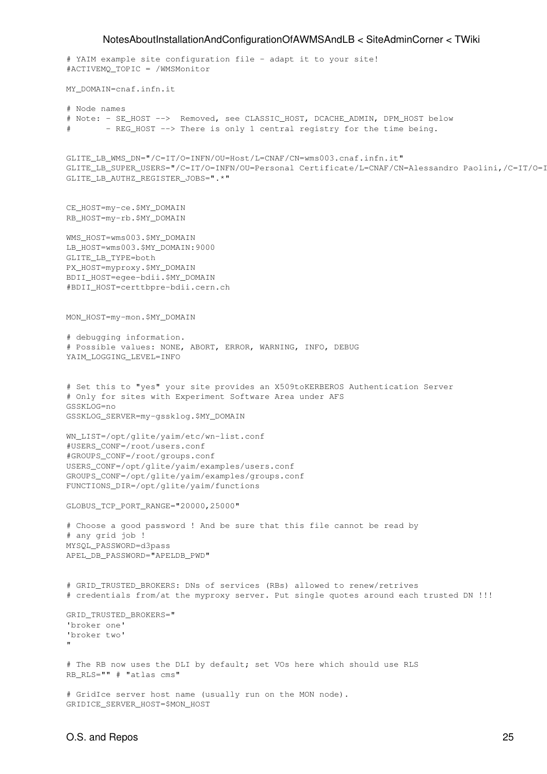```
# YAIM example site configuration file - adapt it to your site!
#ACTIVEMQ_TOPIC = /WMSMonitor 
MY_DOMAIN=cnaf.infn.it
# Node names
# Note: - SE_HOST --> Removed, see CLASSIC_HOST, DCACHE_ADMIN, DPM_HOST below
# - REG_HOST --> There is only 1 central registry for the time being.
GLITE_LB_WMS_DN="/C=IT/O=INFN/OU=Host/L=CNAF/CN=wms003.cnaf.infn.it"
GLITE LB SUPER USERS="/C=IT/O=INFN/OU=Personal Certificate/L=CNAF/CN=Alessandro Paolini,/C=IT/O=I
GLITE_LB_AUTHZ_REGISTER_JOBS=".*"
CE_HOST=my-ce.$MY_DOMAIN
RB_HOST=my-rb.$MY_DOMAIN
WMS_HOST=wms003.$MY_DOMAIN
LB_HOST=wms003.$MY_DOMAIN:9000
GLITE_LB_TYPE=both
PX_HOST=myproxy.$MY_DOMAIN
BDII_HOST=egee-bdii.$MY_DOMAIN
#BDII_HOST=certtbpre-bdii.cern.ch
MON_HOST=my-mon.$MY_DOMAIN
# debugging information.
# Possible values: NONE, ABORT, ERROR, WARNING, INFO, DEBUG
YAIM_LOGGING_LEVEL=INFO
# Set this to "yes" your site provides an X509toKERBEROS Authentication Server 
# Only for sites with Experiment Software Area under AFS 
GSSKLOG=no
GSSKLOG_SERVER=my-gssklog.$MY_DOMAIN
WN_LIST=/opt/glite/yaim/etc/wn-list.conf
#USERS_CONF=/root/users.conf
#GROUPS_CONF=/root/groups.conf
USERS_CONF=/opt/glite/yaim/examples/users.conf
GROUPS_CONF=/opt/glite/yaim/examples/groups.conf
FUNCTIONS_DIR=/opt/glite/yaim/functions
GLOBUS_TCP_PORT_RANGE="20000,25000"
# Choose a good password ! And be sure that this file cannot be read by
# any grid job !
MYSQL_PASSWORD=d3pass
APEL_DB_PASSWORD="APELDB_PWD"
# GRID_TRUSTED_BROKERS: DNs of services (RBs) allowed to renew/retrives 
# credentials from/at the myproxy server. Put single quotes around each trusted DN !!! 
GRID_TRUSTED_BROKERS="
'broker one'
'broker two'
"
# The RB now uses the DLI by default; set VOs here which should use RLS
RB_RLS="" # "atlas cms"
# GridIce server host name (usually run on the MON node).
GRIDICE_SERVER_HOST=$MON_HOST
```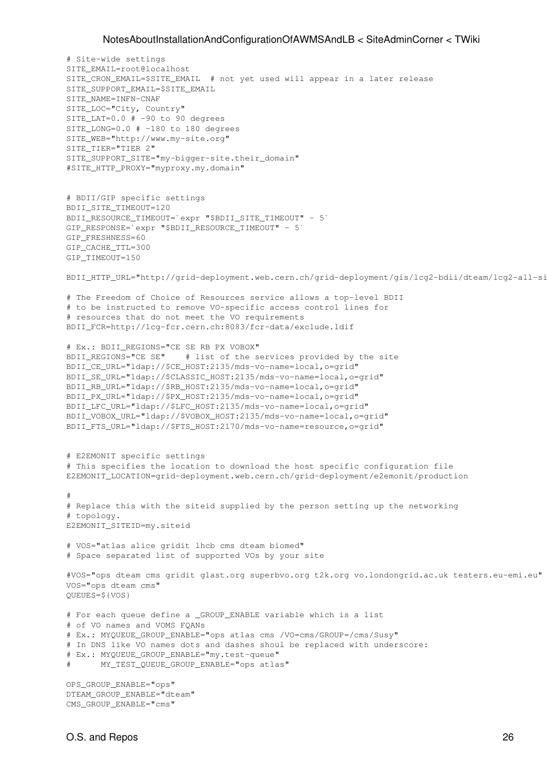```
# Site-wide settings 
SITE_EMAIL=root@localhost
SITE_CRON_EMAIL=$SITE_EMAIL # not yet used will appear in a later release
SITE_SUPPORT_EMAIL=$SITE_EMAIL
SITE_NAME=INFN-CNAF
SITE_LOC="City, Country"
SITE LAT=0.0 # -90 to 90 degrees
SITE_LONG=0.0 # -180 to 180 degrees
SITE_WEB="http://www.my-site.org"
SITE_TIER="TIER 2"
SITE_SUPPORT_SITE="my-bigger-site.their_domain"
#SITE_HTTP_PROXY="myproxy.my.domain"
# BDII/GIP specific settings
BDII_SITE_TIMEOUT=120
BDII_RESOURCE_TIMEOUT=`expr "$BDII_SITE_TIMEOUT" - 5`
GIP_RESPONSE=`expr "$BDII_RESOURCE_TIMEOUT" - 5`
GIP_FRESHNESS=60
GIP_CACHE_TTL=300
GIP_TIMEOUT=150
BDII_HTTP_URL="http://grid-deployment.web.cern.ch/grid-deployment/gis/lcg2-bdii/dteam/lcg2-all-si
# The Freedom of Choice of Resources service allows a top-level BDII
# to be instructed to remove VO-specific access control lines for
# resources that do not meet the VO requirements 
BDII_FCR=http://lcg-fcr.cern.ch:8083/fcr-data/exclude.ldif 
# Ex.: BDII_REGIONS="CE SE RB PX VOBOX"
BDII_REGIONS="CE SE" # list of the services provided by the site
BDII_CE_URL="ldap://$CE_HOST:2135/mds-vo-name=local,o=grid"
BDII_SE_URL="ldap://$CLASSIC_HOST:2135/mds-vo-name=local,o=grid"
BDII_RB_URL="ldap://$RB_HOST:2135/mds-vo-name=local,o=grid"
BDII_PX_URL="ldap://$PX_HOST:2135/mds-vo-name=local,o=grid"
BDII_LFC_URL="ldap://$LFC_HOST:2135/mds-vo-name=local,o=grid"
BDII_VOBOX_URL="ldap://$VOBOX_HOST:2135/mds-vo-name=local,o=grid"
BDII_FTS_URL="ldap://$FTS_HOST:2170/mds-vo-name=resource,o=grid"
# E2EMONIT specific settings
# This specifies the location to download the host specific configuration file
E2EMONIT_LOCATION=grid-deployment.web.cern.ch/grid-deployment/e2emonit/production
#
# Replace this with the siteid supplied by the person setting up the networking 
# topology.
E2EMONIT_SITEID=my.siteid
# VOS="atlas alice gridit lhcb cms dteam biomed"
# Space separated list of supported VOs by your site
#VOS="ops dteam cms gridit glast.org superbvo.org t2k.org vo.londongrid.ac.uk testers.eu-emi.eu"
VOS="ops dteam cms"
QUEUES=${VOS}
# For each queue define a _GROUP_ENABLE variable which is a list
# of VO names and VOMS FQANs
# Ex.: MYQUEUE_GROUP_ENABLE="ops atlas cms /VO=cms/GROUP=/cms/Susy"
# In DNS like VO names dots and dashes shoul be replaced with underscore:
# Ex.: MYQUEUE_GROUP_ENABLE="my.test-queue"
# MY_TEST_QUEUE_GROUP_ENABLE="ops atlas"
OPS GROUP ENABLE="ops"
DTEAM_GROUP_ENABLE="dteam"
```
CMS\_GROUP\_ENABLE="cms"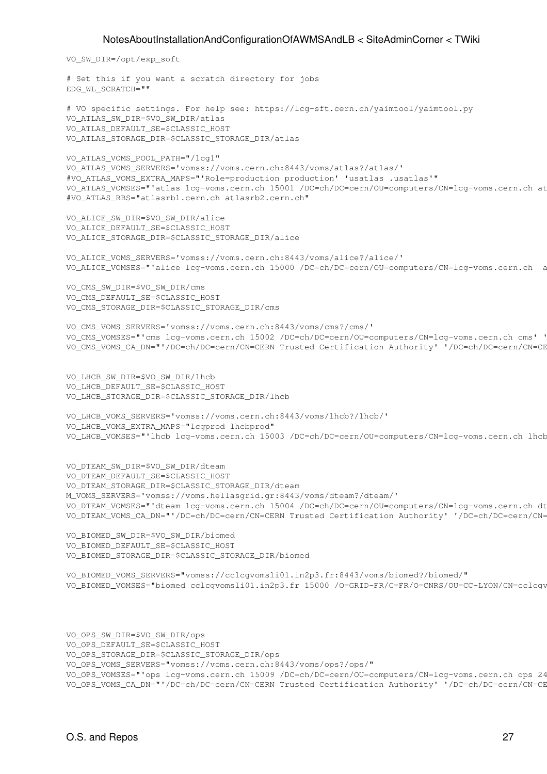VO\_SW\_DIR=/opt/exp\_soft

# Set this if you want a scratch directory for jobs EDG\_WL\_SCRATCH=""

# VO specific settings. For help see: https://lcg-sft.cern.ch/yaimtool/yaimtool.py VO\_ATLAS\_SW\_DIR=\$VO\_SW\_DIR/atlas VO\_ATLAS\_DEFAULT\_SE=\$CLASSIC\_HOST VO\_ATLAS\_STORAGE\_DIR=\$CLASSIC\_STORAGE\_DIR/atlas

VO\_ATLAS\_VOMS\_POOL\_PATH="/lcg1" VO\_ATLAS\_VOMS\_SERVERS='vomss://voms.cern.ch:8443/voms/atlas?/atlas/' #VO\_ATLAS\_VOMS\_EXTRA\_MAPS="'Role=production production' 'usatlas .usatlas'" VO\_ATLAS\_VOMSES="'atlas lcg-voms.cern.ch 15001 /DC=ch/DC=cern/OU=computers/CN=lcg-voms.cern.ch at #VO\_ATLAS\_RBS="atlasrb1.cern.ch atlasrb2.cern.ch"

VO\_ALICE\_SW\_DIR=\$VO\_SW\_DIR/alice VO\_ALICE\_DEFAULT\_SE=\$CLASSIC\_HOST VO\_ALICE\_STORAGE\_DIR=\$CLASSIC\_STORAGE\_DIR/alice

VO\_ALICE\_VOMS\_SERVERS='vomss://voms.cern.ch:8443/voms/alice?/alice/' VO\_ALICE\_VOMSES="'alice lcg-voms.cern.ch 15000 /DC=ch/DC=cern/OU=computers/CN=lcg-voms.cern.ch a

VO\_CMS\_SW\_DIR=\$VO\_SW\_DIR/cms VO\_CMS\_DEFAULT\_SE=\$CLASSIC\_HOST VO\_CMS\_STORAGE\_DIR=\$CLASSIC\_STORAGE\_DIR/cms

VO\_CMS\_VOMS\_SERVERS='vomss://voms.cern.ch:8443/voms/cms?/cms/' VO\_CMS\_VOMSES="'cms lcg-voms.cern.ch 15002 /DC=ch/DC=cern/OU=computers/CN=lcg-voms.cern.ch cms' ' VO\_CMS\_VOMS\_CA\_DN="'/DC=ch/DC=cern/CN=CERN Trusted Certification Authority' '/DC=ch/DC=cern/CN=CERN Trusted Certification Authority'"

VO\_LHCB\_SW\_DIR=\$VO\_SW\_DIR/lhcb VO\_LHCB\_DEFAULT\_SE=\$CLASSIC\_HOST VO\_LHCB\_STORAGE\_DIR=\$CLASSIC\_STORAGE\_DIR/lhcb

VO\_LHCB\_VOMS\_SERVERS='vomss://voms.cern.ch:8443/voms/lhcb?/lhcb/' VO\_LHCB\_VOMS\_EXTRA\_MAPS="lcgprod lhcbprod" VO\_LHCB\_VOMSES="'lhcb lcg-voms.cern.ch 15003 /DC=ch/DC=cern/OU=computers/CN=lcg-voms.cern.ch lhcb

VO\_DTEAM\_SW\_DIR=\$VO\_SW\_DIR/dteam VO\_DTEAM\_DEFAULT\_SE=\$CLASSIC\_HOST VO\_DTEAM\_STORAGE\_DIR=\$CLASSIC\_STORAGE\_DIR/dteam M\_VOMS\_SERVERS='vomss://voms.hellasgrid.gr:8443/voms/dteam?/dteam/' VO\_DTEAM\_VOMSES="'dteam\_lcg-voms.cern.ch\_15004\_/DC=ch/DC=cern/OU=computers/CN=lcg-voms.cern.ch\_dt VO\_DTEAM\_VOMS\_CA\_DN="'/DC=ch/DC=cern/CN=CERN Trusted Certification Authority' '/DC=ch/DC=cern/CN=

VO\_BIOMED\_SW\_DIR=\$VO\_SW\_DIR/biomed VO\_BIOMED\_DEFAULT\_SE=\$CLASSIC\_HOST VO\_BIOMED\_STORAGE\_DIR=\$CLASSIC\_STORAGE\_DIR/biomed

VO\_BIOMED\_VOMS\_SERVERS="vomss://cclcgvomsli01.in2p3.fr:8443/voms/biomed?/biomed/" VO\_BIOMED\_VOMSES="biomed cclcgvomsli01.in2p3.fr 15000 /O=GRID-FR/C=FR/O=CNRS/OU=CC-LYON/CN=cclcgvomsli01.in2p3.fr biomed"

VO\_OPS\_SW\_DIR=\$VO\_SW\_DIR/ops

VO\_OPS\_DEFAULT\_SE=\$CLASSIC\_HOST

VO\_OPS\_STORAGE\_DIR=\$CLASSIC\_STORAGE\_DIR/ops

VO\_OPS\_VOMS\_SERVERS="vomss://voms.cern.ch:8443/voms/ops?/ops/"

VO\_OPS\_VOMSES="'ops lcg-voms.cern.ch 15009 /DC=ch/DC=cern/OU=computers/CN=lcg-voms.cern.ch ops 24 VO\_OPS\_VOMS\_CA\_DN="'/DC=ch/DC=cern/CN=CERN Trusted Certification Authority' '/DC=ch/DC=cern/CN=CERN Trusted Certification Authority'"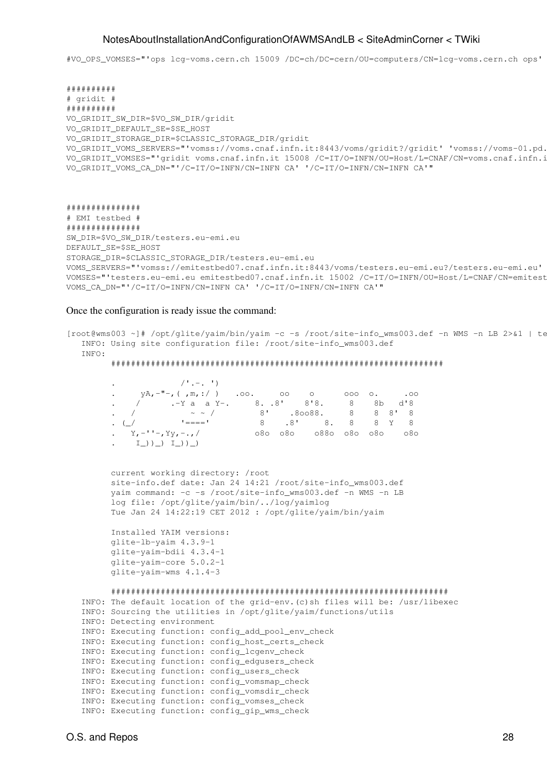#VO\_OPS\_VOMSES="'ops lcg-voms.cern.ch 15009 /DC=ch/DC=cern/OU=computers/CN=lcg-voms.cern.ch ops' 'ops voms.cern.ch 15004 /DC=ch/DC=cern/OU=computers/CN=voms.cern.ch ops'"

```
##########
# gridit #
##########
VO GRIDIT SW DIR=$VO SW DIR/gridit
VO_GRIDIT_DEFAULT_SE=$SE_HOST
VO_GRIDIT_STORAGE_DIR=$CLASSIC_STORAGE_DIR/gridit
VO_GRIDIT_VOMS_SERVERS="'vomss://voms.cnaf.infn.it:8443/voms/gridit?/gridit' 'vomss://voms-01.pd.
VO_GRIDIT_VOMSES="'gridit voms.cnaf.infn.it 15008 /C=IT/O=INFN/OU=Host/L=CNAF/CN=voms.cnaf.infn.i
VO_GRIDIT_VOMS_CA_DN="'/C=IT/O=INFN/CN=INFN CA' '/C=IT/O=INFN/CN=INFN CA'"
```

```
###############
# EMI testbed #
###############
SW_DIR=$VO_SW_DIR/testers.eu-emi.eu
DEFAULT_SE=$SE_HOST
STORAGE_DIR=$CLASSIC_STORAGE_DIR/testers.eu-emi.eu
VOMS_SERVERS="'vomss://emitestbed07.cnaf.infn.it:8443/voms/testers.eu-emi.eu?/testers.eu-emi.eu' 'vomss://emitestbed01.cnaf.infn.it:8443/voms/testers.eu-emi.eu?/testers.eu-emi.eu'"
VOMSES="'testers.eu-emi.eu emitestbed07.cnaf.infn.it 15002 /C=IT/O=INFN/OU=Host/L=CNAF/CN=emitest
VOMS_CA_DN="'/C=IT/O=INFN/CN=INFN CA' '/C=IT/O=INFN/CN=INFN CA'"
```
#### Once the configuration is ready issue the command:

```
[root@wms003 ~]# /opt/glite/yaim/bin/yaim -c -s /root/site-info_wms003.def -n WMS -n LB 2>&1 | te
   INFO: Using site configuration file: /root/site-info_wms003.def
   INFO: 
         ###################################################################
. The set of \mathcal{N} is the set of \mathcal{N} in the set of \mathcal{N} is the set of \mathcal{N} is the set of \mathcal{N}. yA, -"-, (7, m, :') . 00. . 00. . 000. . 00. . / .-Y a a Y-. 8. .8' 8'8. 8 8b d'8
 . / ~ ~ / 8' .8oo88. 8 8 8' 8
 . (_/ '====' 8 .8' 8. 8 8 Y 8
 . Y,-''-,Yy,-.,/ o8o o8o o88o o8o o8o o8o
             I_{-}) ) _{-}) I_{-}) ) _{-})
         current working directory: /root
         site-info.def date: Jan 24 14:21 /root/site-info_wms003.def
         yaim command: -c -s /root/site-info_wms003.def -n WMS -n LB
         log file: /opt/glite/yaim/bin/../log/yaimlog
         Tue Jan 24 14:22:19 CET 2012 : /opt/glite/yaim/bin/yaim
         Installed YAIM versions:
         glite-lb-yaim 4.3.9-1
         glite-yaim-bdii 4.3.4-1
         glite-yaim-core 5.0.2-1
         glite-yaim-wms 4.1.4-3
         ####################################################################
   INFO: The default location of the grid-env.(c)sh files will be: /usr/libexec
   INFO: Sourcing the utilities in /opt/glite/yaim/functions/utils
   INFO: Detecting environment
   INFO: Executing function: config_add_pool_env_check 
   INFO: Executing function: config_host_certs_check 
   INFO: Executing function: config_lcgenv_check 
   INFO: Executing function: config_edgusers_check 
   INFO: Executing function: config_users_check 
   INFO: Executing function: config_vomsmap_check 
   INFO: Executing function: config_vomsdir_check 
   INFO: Executing function: config_vomses_check 
   INFO: Executing function: config_gip_wms_check
```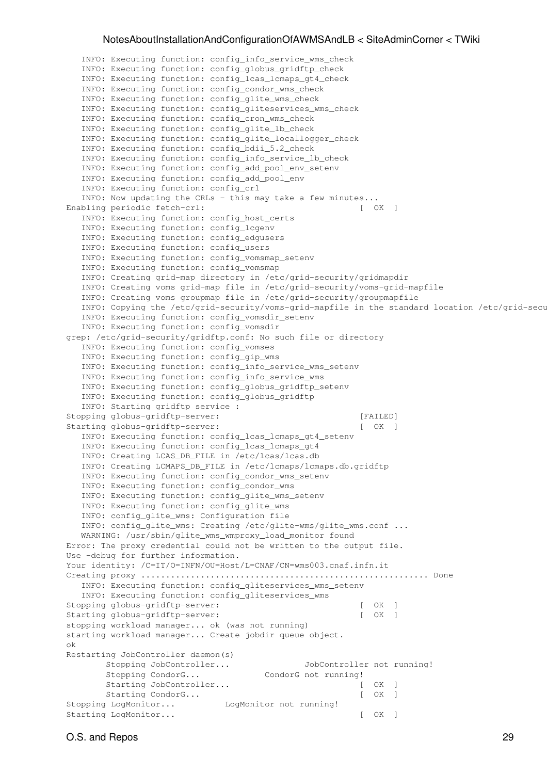```
 INFO: Executing function: config_info_service_wms_check 
   INFO: Executing function: config_globus_gridftp_check 
   INFO: Executing function: config_lcas_lcmaps_gt4_check 
   INFO: Executing function: config_condor_wms_check 
    INFO: Executing function: config_glite_wms_check 
    INFO: Executing function: config_gliteservices_wms_check 
    INFO: Executing function: config_cron_wms_check 
   INFO: Executing function: config_glite_lb_check 
   INFO: Executing function: config_glite_locallogger_check 
   INFO: Executing function: config_bdii_5.2_check 
   INFO: Executing function: config_info_service_lb_check 
  INFO: Executing function: config add pool env setenv
   INFO: Executing function: config_add_pool_env 
   INFO: Executing function: config_crl 
   INFO: Now updating the CRLs - this may take a few minutes...
Enabling periodic fetch-crl: [OK] INFO: Executing function: config_host_certs 
   INFO: Executing function: config_lcgenv 
   INFO: Executing function: config_edgusers 
    INFO: Executing function: config_users 
   INFO: Executing function: config_vomsmap_setenv 
   INFO: Executing function: config_vomsmap 
   INFO: Creating grid-map directory in /etc/grid-security/gridmapdir
   INFO: Creating voms grid-map file in /etc/grid-security/voms-grid-mapfile
   INFO: Creating voms groupmap file in /etc/grid-security/groupmapfile
  INFO: Copying the /etc/grid-security/voms-grid-mapfile in the standard location /etc/grid-secu
   INFO: Executing function: config_vomsdir_setenv 
   INFO: Executing function: config_vomsdir 
grep: /etc/grid-security/gridftp.conf: No such file or directory
   INFO: Executing function: config_vomses 
   INFO: Executing function: config_gip_wms 
   INFO: Executing function: config_info_service_wms_setenv 
    INFO: Executing function: config_info_service_wms 
    INFO: Executing function: config_globus_gridftp_setenv 
    INFO: Executing function: config_globus_gridftp 
   INFO: Starting gridftp service :
Stopping globus-gridftp-server: [FAILED]
Starting globus-gridftp-server: [ OK ]
   INFO: Executing function: config_lcas_lcmaps_gt4_setenv 
   INFO: Executing function: config_lcas_lcmaps_gt4 
   INFO: Creating LCAS_DB_FILE in /etc/lcas/lcas.db
   INFO: Creating LCMAPS_DB_FILE in /etc/lcmaps/lcmaps.db.gridftp
   INFO: Executing function: config_condor_wms_setenv 
   INFO: Executing function: config_condor_wms 
   INFO: Executing function: config_glite_wms_setenv 
   INFO: Executing function: config_glite_wms 
    INFO: config_glite_wms: Configuration file
   INFO: config_glite_wms: Creating /etc/glite-wms/glite_wms.conf ...
   WARNING: /usr/sbin/glite_wms_wmproxy_load_monitor found
Error: The proxy credential could not be written to the output file.
Use -debug for further information.
Your identity: /C=IT/O=INFN/OU=Host/L=CNAF/CN=wms003.cnaf.infn.it
Creating proxy .......................................................... Done
   INFO: Executing function: config_gliteservices_wms_setenv 
   INFO: Executing function: config_gliteservices_wms 
Stopping globus-gridftp-server:<br>
Starting globus-gridftp-server:<br>
[ OK ]
Starting globus-gridftp-server:
stopping workload manager... ok (was not running)
starting workload manager... Create jobdir queue object.
ok
Restarting JobController daemon(s)
        Stopping JobController... JobController not running!
       Stopping CondorG... CondorG not running!
       Starting JobController...<br>Starting CondorG... [ OK ]
       Starting CondorG...
Stopping LogMonitor... LogMonitor not running!
Starting LogMonitor... [ OK ]
```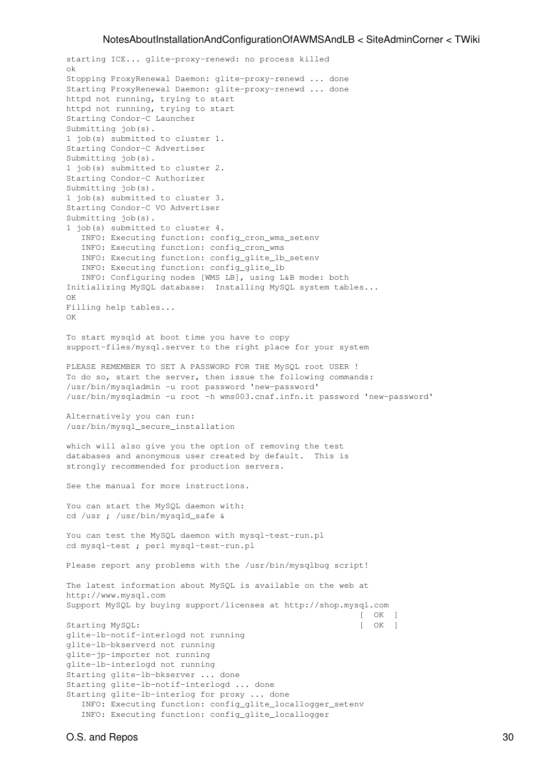```
starting ICE... glite-proxy-renewd: no process killed
ok
Stopping ProxyRenewal Daemon: glite-proxy-renewd ... done
Starting ProxyRenewal Daemon: glite-proxy-renewd ... done
httpd not running, trying to start
httpd not running, trying to start
Starting Condor-C Launcher
Submitting job(s).
1 job(s) submitted to cluster 1.
Starting Condor-C Advertiser
Submitting job(s).
1 job(s) submitted to cluster 2.
Starting Condor-C Authorizer
Submitting job(s).
1 job(s) submitted to cluster 3.
Starting Condor-C VO Advertiser
Submitting job(s).
1 job(s) submitted to cluster 4.
    INFO: Executing function: config_cron_wms_setenv 
    INFO: Executing function: config_cron_wms 
    INFO: Executing function: config_glite_lb_setenv 
   INFO: Executing function: config glite lb
    INFO: Configuring nodes [WMS LB], using L&B mode: both
Initializing MySQL database: Installing MySQL system tables...
OK
Filling help tables...
OK
To start mysqld at boot time you have to copy
support-files/mysql.server to the right place for your system
PLEASE REMEMBER TO SET A PASSWORD FOR THE MySQL root USER !
To do so, start the server, then issue the following commands:
/usr/bin/mysqladmin -u root password 'new-password'
/usr/bin/mysqladmin -u root -h wms003.cnaf.infn.it password 'new-password'
Alternatively you can run:
/usr/bin/mysql_secure_installation
which will also give you the option of removing the test
databases and anonymous user created by default. This is
strongly recommended for production servers.
See the manual for more instructions.
You can start the MySQL daemon with:
cd /usr ; /usr/bin/mysqld_safe &
You can test the MySQL daemon with mysql-test-run.pl
cd mysql-test ; perl mysql-test-run.pl
Please report any problems with the /usr/bin/mysqlbug script!
The latest information about MySQL is available on the web at
http://www.mysql.com
Support MySQL by buying support/licenses at http://shop.mysql.com
                                                            [ OK ]
Starting MySOL: [ OK ]
glite-lb-notif-interlogd not running
glite-lb-bkserverd not running
glite-jp-importer not running
glite-lb-interlogd not running
Starting glite-lb-bkserver ... done
Starting glite-lb-notif-interlogd ... done
Starting glite-lb-interlog for proxy ... done
    INFO: Executing function: config_glite_locallogger_setenv 
    INFO: Executing function: config_glite_locallogger
```
### O.S. and Repos 30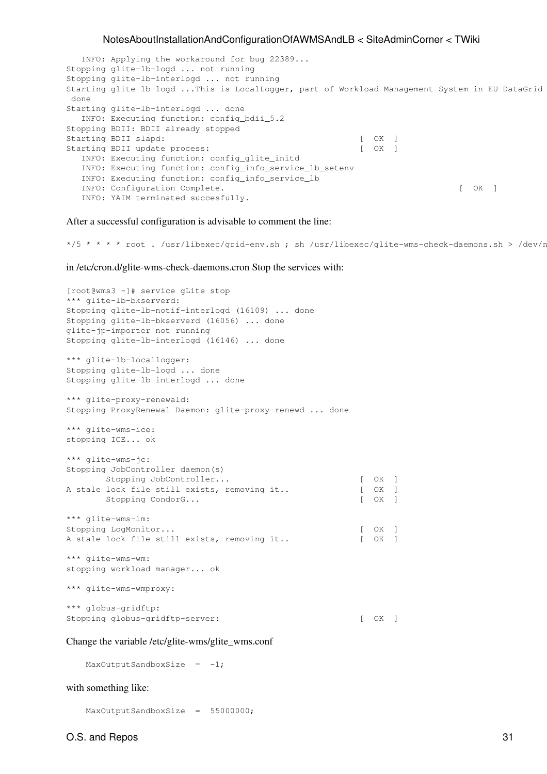INFO: Applying the workaround for bug 22389... Stopping glite-lb-logd ... not running Stopping glite-lb-interlogd ... not running Starting glite-lb-logd ...This is LocalLogger, part of Workload Management System in EU DataGrid done Starting glite-lb-interlogd ... done INFO: Executing function: config bdii 5.2 Stopping BDII: BDII already stopped Starting BDII slapd: [ OK ]<br>Starting BDII update process: [ OK ] Starting BDII update process: INFO: Executing function: config\_glite\_initd INFO: Executing function: config\_info\_service\_lb\_setenv INFO: Executing function: config\_info\_service\_lb INFO: Configuration Complete. The contraction of  $(X, \mathbb{R})$  and  $(Y, \mathbb{R})$  and  $(Y, \mathbb{R})$  and  $(Y, \mathbb{R})$  and  $(Y, \mathbb{R})$  and  $(Y, \mathbb{R})$  and  $(Y, \mathbb{R})$  and  $(Y, \mathbb{R})$  and  $(Y, \mathbb{R})$  and  $(Y, \mathbb{R})$  are contracted by a set of INFO: YAIM terminated succesfully.

After a successful configuration is advisable to comment the line:

 $*/5$  \* \* \* \* root . /usr/libexec/grid-env.sh ; sh /usr/libexec/glite-wms-check-daemons.sh > /dev/n

in /etc/cron.d/glite-wms-check-daemons.cron Stop the services with:

```
[root@wms3 ~]# service gLite stop
*** glite-lb-bkserverd:
Stopping glite-lb-notif-interlogd (16109) ... done
Stopping glite-lb-bkserverd (16056) ... done
glite-jp-importer not running
Stopping glite-lb-interlogd (16146) ... done
*** glite-lb-locallogger:
Stopping glite-lb-logd ... done
Stopping glite-lb-interlogd ... done
*** glite-proxy-renewald:
Stopping ProxyRenewal Daemon: glite-proxy-renewd ... done
*** glite-wms-ice:
stopping ICE... ok
*** glite-wms-jc:
Stopping JobController daemon(s)
      Stopping JobController... [ OK ]
A stale lock file still exists, removing it.. [ OK ]
      Stopping CondorG... [ OK ]
*** glite-wms-lm:
Stopping LogMonitor... [ OK ]
A stale lock file still exists, removing it.. [ OK ]
*** glite-wms-wm:
stopping workload manager... ok
*** glite-wms-wmproxy:
*** globus-gridftp:
Stopping globus-gridftp-server: [ OK ]
```
Change the variable /etc/glite-wms/glite\_wms.conf

 $MaxOutput$ SandboxSize =  $-1$ ;

#### with something like:

MaxOutputSandboxSize = 55000000;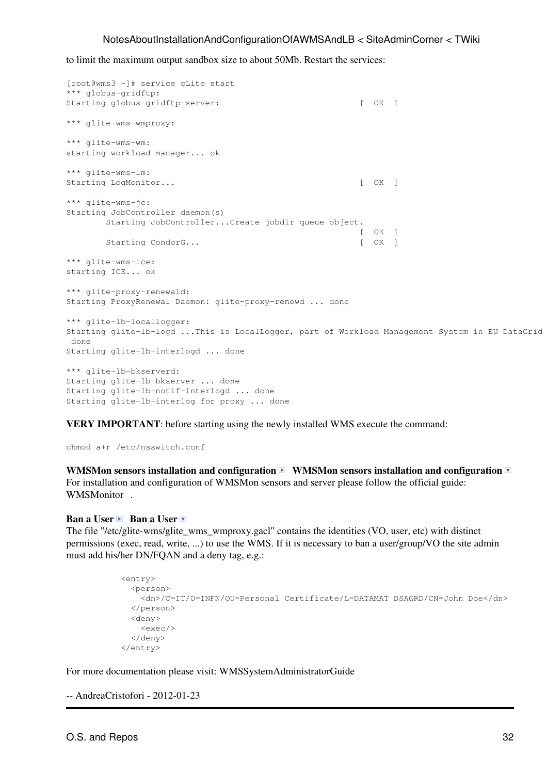to limit the maximum output sandbox size to about 50Mb. Restart the services:

```
[root@wms3 ~]# service gLite start
*** globus-gridftp:
Starting globus-gridftp-server: [ OK ]
*** glite-wms-wmproxy:
*** glite-wms-wm:
starting workload manager... ok
*** glite-wms-lm:
Starting LogMonitor... [ OK ]
*** glite-wms-jc:
Starting JobController daemon(s)
       Starting JobController...Create jobdir queue object.
[ OK ]Starting CondorG... [ OK ]
*** glite-wms-ice:
starting ICE... ok
*** glite-proxy-renewald:
Starting ProxyRenewal Daemon: glite-proxy-renewd ... done
*** glite-lb-locallogger:
Starting glite-lb-logd ...This is LocalLogger, part of Workload Management System in EU DataGrid
 done
Starting glite-lb-interlogd ... done
*** glite-lb-bkserverd:
Starting glite-lb-bkserver ... done
Starting glite-lb-notif-interlogd ... done
Starting glite-lb-interlog for proxy ... done
```
**VERY IMPORTANT**: before starting using the newly installed WMS execute the command:

chmod a+r /etc/nsswitch.conf

WMSMon sensors installation and configuration **WMSM** is ensors installation and configuration **I** For installation and configuration of WMSMon sensors and server please follow the official guide: [WMSMonitor](http://wiki.italiangrid.it/twiki/bin/view/WMSMonitor/WebDownload3) .

### **Ban a User B Ban a User**

The file "/etc/glite-wms/glite\_wms\_wmproxy.gacl" contains the identities (VO, user, etc) with distinct permissions (exec, read, write, ...) to use the WMS. If it is necessary to ban a user/group/VO the site admin must add his/her DN/FQAN and a deny tag, e.g.:

```
 <entry>
  <person>
     <dn>/C=IT/O=INFN/OU=Personal Certificate/L=DATAMAT DSAGRD/CN=John Doe</dn>
   </person>
   <deny>
    <exec/>
  </deny>
 </entry>
```
For more documentation please visit: [WMSSystemAdministratorGuide](https://wiki-igi.cnaf.infn.it/twiki/bin/view/WMS/WMSSystemAdministratorGuide)

-- [AndreaCristofori](https://wiki-igi.cnaf.infn.it/twiki/bin/view/Main/AndreaCristofori) - 2012-01-23